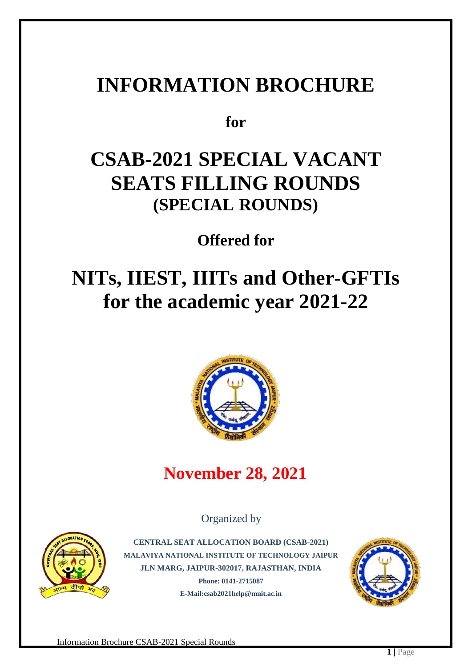# **INFORMATION BROCHURE**

**for**

# **CSAB-2021 SPECIAL VACANT SEATS FILLING ROUNDS (SPECIAL ROUNDS)**

**Offered for**

# **NITs, IIEST, IIITs and Other-GFTIs for the academic year 2021-22**



## **November 28, 2021**

Organized by



**CENTRAL SEAT ALLOCATION BOARD (CSAB-2021) MALAVIYA NATIONAL INSTITUTE OF TECHNOLOGY JAIPUR JLN MARG, JAIPUR-302017, RAJASTHAN, INDIA Phone: 0141-2715087 E-Mail:csab2021help@mnit.ac.in**

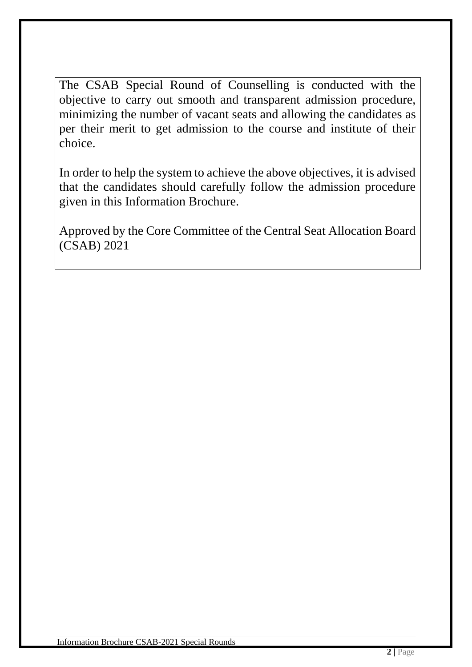The CSAB Special Round of Counselling is conducted with the objective to carry out smooth and transparent admission procedure, minimizing the number of vacant seats and allowing the candidates as per their merit to get admission to the course and institute of their choice.

In order to help the system to achieve the above objectives, it is advised that the candidates should carefully follow the admission procedure given in this Information Brochure.

Approved by the Core Committee of the Central Seat Allocation Board (CSAB) 2021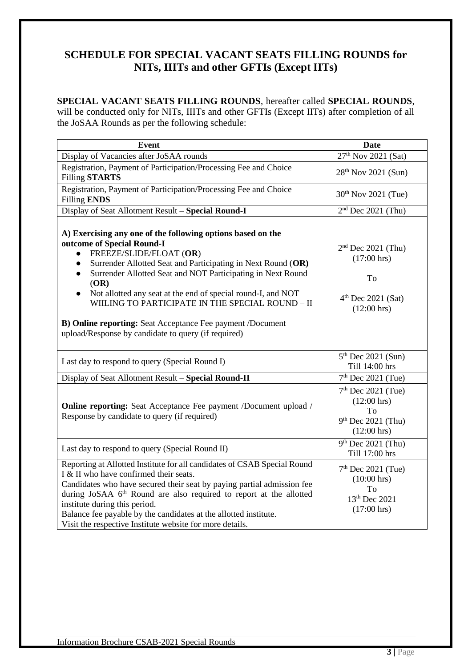### **SCHEDULE FOR SPECIAL VACANT SEATS FILLING ROUNDS for NITs, IIITs and other GFTIs (Except IITs)**

#### **SPECIAL VACANT SEATS FILLING ROUNDS**, hereafter called **SPECIAL ROUNDS**,

will be conducted only for NITs, IIITs and other GFTIs (Except IITs) after completion of all the JoSAA Rounds as per the following schedule:

| <b>Event</b>                                                                                                                                                                                                                                                                                                                                                                                                                                                                                                      | <b>Date</b>                                                                                          |
|-------------------------------------------------------------------------------------------------------------------------------------------------------------------------------------------------------------------------------------------------------------------------------------------------------------------------------------------------------------------------------------------------------------------------------------------------------------------------------------------------------------------|------------------------------------------------------------------------------------------------------|
| Display of Vacancies after JoSAA rounds                                                                                                                                                                                                                                                                                                                                                                                                                                                                           | 27 <sup>th</sup> Nov 2021 (Sat)                                                                      |
| Registration, Payment of Participation/Processing Fee and Choice<br><b>Filling STARTS</b>                                                                                                                                                                                                                                                                                                                                                                                                                         | 28 <sup>th</sup> Nov 2021 (Sun)                                                                      |
| Registration, Payment of Participation/Processing Fee and Choice<br><b>Filling ENDS</b>                                                                                                                                                                                                                                                                                                                                                                                                                           | 30 <sup>th</sup> Nov 2021 (Tue)                                                                      |
| Display of Seat Allotment Result - Special Round-I                                                                                                                                                                                                                                                                                                                                                                                                                                                                | $2nd$ Dec 2021 (Thu)                                                                                 |
| A) Exercising any one of the following options based on the<br>outcome of Special Round-I<br>FREEZE/SLIDE/FLOAT (OR)<br>$\bullet$<br>Surrender Allotted Seat and Participating in Next Round (OR)<br>Surrender Allotted Seat and NOT Participating in Next Round<br>(OR)<br>Not allotted any seat at the end of special round-I, and NOT<br>WIILING TO PARTICIPATE IN THE SPECIAL ROUND - II<br>B) Online reporting: Seat Acceptance Fee payment /Document<br>upload/Response by candidate to query (if required) | $2nd$ Dec 2021 (Thu)<br>$(17:00 \text{ hrs})$<br>To<br>$4th$ Dec 2021 (Sat)<br>$(12:00 \text{ hrs})$ |
| Last day to respond to query (Special Round I)                                                                                                                                                                                                                                                                                                                                                                                                                                                                    | $5th$ Dec 2021 (Sun)<br>Till 14:00 hrs                                                               |
| Display of Seat Allotment Result - Special Round-II                                                                                                                                                                                                                                                                                                                                                                                                                                                               | $7th$ Dec 2021 (Tue)                                                                                 |
| <b>Online reporting:</b> Seat Acceptance Fee payment /Document upload /<br>Response by candidate to query (if required)                                                                                                                                                                                                                                                                                                                                                                                           | $7th$ Dec 2021 (Tue)<br>$(12:00 \text{ hrs})$<br>To<br>$9th$ Dec 2021 (Thu)<br>$(12:00 \text{ hrs})$ |
| Last day to respond to query (Special Round II)                                                                                                                                                                                                                                                                                                                                                                                                                                                                   | $9th$ Dec 2021 (Thu)<br>Till 17:00 hrs                                                               |
| Reporting at Allotted Institute for all candidates of CSAB Special Round<br>I & II who have confirmed their seats.<br>Candidates who have secured their seat by paying partial admission fee<br>during JoSAA 6 <sup>th</sup> Round are also required to report at the allotted<br>institute during this period.<br>Balance fee payable by the candidates at the allotted institute.<br>Visit the respective Institute website for more details.                                                                   | $7th$ Dec 2021 (Tue)<br>$(10:00 \text{ hrs})$<br>Tо<br>13th Dec 2021<br>$(17:00 \text{ hrs})$        |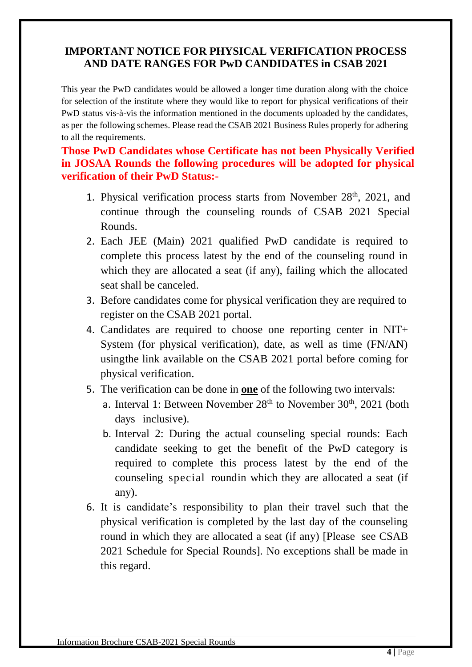### **IMPORTANT NOTICE FOR PHYSICAL VERIFICATION PROCESS AND DATE RANGES FOR PwD CANDIDATES in CSAB 2021**

This year the PwD candidates would be allowed a longer time duration along with the choice for selection of the institute where they would like to report for physical verifications of their PwD status vis-à-vis the information mentioned in the documents uploaded by the candidates, as per the following schemes. Please read the CSAB 2021 Business Rules properly for adhering to all the requirements.

#### **Those PwD Candidates whose Certificate has not been Physically Verified in JOSAA Rounds the following procedures will be adopted for physical verification of their PwD Status:-**

- 1. Physical verification process starts from November 28<sup>th</sup>, 2021, and continue through the counseling rounds of CSAB 2021 Special Rounds.
- 2. Each JEE (Main) 2021 qualified PwD candidate is required to complete this process latest by the end of the counseling round in which they are allocated a seat (if any), failing which the allocated seat shall be canceled.
- 3. Before candidates come for physical verification they are required to register on the CSAB 2021 portal.
- 4. Candidates are required to choose one reporting center in NIT+ System (for physical verification), date, as well as time (FN/AN) usingthe link available on the CSAB 2021 portal before coming for physical verification.
- 5. The verification can be done in **one** of the following two intervals:
	- a. Interval 1: Between November  $28<sup>th</sup>$  to November  $30<sup>th</sup>$ ,  $2021$  (both days inclusive).
	- b. Interval 2: During the actual counseling special rounds: Each candidate seeking to get the benefit of the PwD category is required to complete this process latest by the end of the counseling special roundin which they are allocated a seat (if any).
- 6. It is candidate's responsibility to plan their travel such that the physical verification is completed by the last day of the counseling round in which they are allocated a seat (if any) [Please see CSAB 2021 Schedule for Special Rounds]. No exceptions shall be made in this regard.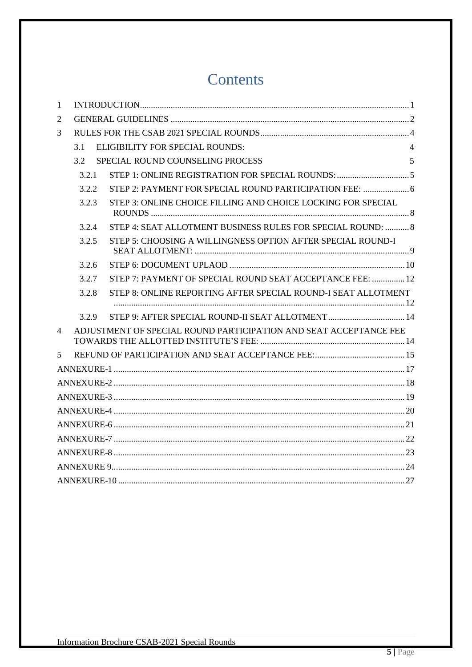## Contents

| $\mathbf{1}$   |       |                                                                   |                |
|----------------|-------|-------------------------------------------------------------------|----------------|
| $\overline{2}$ |       |                                                                   |                |
| 3              |       |                                                                   |                |
|                | 3.1   | <b>ELIGIBILITY FOR SPECIAL ROUNDS:</b>                            | $\overline{4}$ |
|                | 3.2   | SPECIAL ROUND COUNSELING PROCESS                                  | 5              |
|                | 3.2.1 |                                                                   |                |
|                | 3.2.2 | STEP 2: PAYMENT FOR SPECIAL ROUND PARTICIPATION FEE:  6           |                |
|                | 3.2.3 | STEP 3: ONLINE CHOICE FILLING AND CHOICE LOCKING FOR SPECIAL      |                |
|                | 3.2.4 | STEP 4: SEAT ALLOTMENT BUSINESS RULES FOR SPECIAL ROUND:  8       |                |
|                | 3.2.5 | STEP 5: CHOOSING A WILLINGNESS OPTION AFTER SPECIAL ROUND-I       |                |
|                | 3.2.6 |                                                                   |                |
|                | 3.2.7 | STEP 7: PAYMENT OF SPECIAL ROUND SEAT ACCEPTANCE FEE:  12         |                |
|                | 3.2.8 | STEP 8: ONLINE REPORTING AFTER SPECIAL ROUND-I SEAT ALLOTMENT     |                |
|                | 3.2.9 |                                                                   |                |
| $\overline{4}$ |       | ADJUSTMENT OF SPECIAL ROUND PARTICIPATION AND SEAT ACCEPTANCE FEE |                |
| 5              |       |                                                                   |                |
|                |       |                                                                   |                |
|                |       |                                                                   |                |
|                |       |                                                                   |                |
|                |       |                                                                   |                |
|                |       |                                                                   |                |
|                |       |                                                                   |                |
|                |       |                                                                   |                |
|                |       |                                                                   |                |
|                |       |                                                                   |                |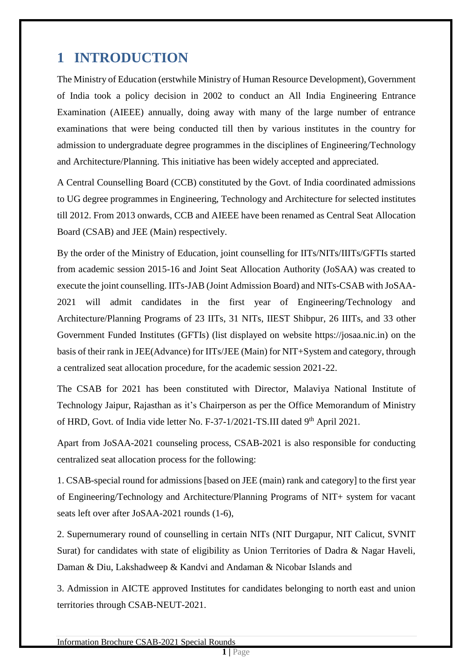## <span id="page-5-0"></span>**1 INTRODUCTION**

The Ministry of Education (erstwhile Ministry of Human Resource Development), Government of India took a policy decision in 2002 to conduct an All India Engineering Entrance Examination (AIEEE) annually, doing away with many of the large number of entrance examinations that were being conducted till then by various institutes in the country for admission to undergraduate degree programmes in the disciplines of Engineering/Technology and Architecture/Planning. This initiative has been widely accepted and appreciated.

A Central Counselling Board (CCB) constituted by the Govt. of India coordinated admissions to UG degree programmes in Engineering, Technology and Architecture for selected institutes till 2012. From 2013 onwards, CCB and AIEEE have been renamed as Central Seat Allocation Board (CSAB) and JEE (Main) respectively.

By the order of the Ministry of Education, joint counselling for IITs/NITs/IIITs/GFTIs started from academic session 2015-16 and Joint Seat Allocation Authority (JoSAA) was created to execute the joint counselling. IITs-JAB (Joint Admission Board) and NITs-CSAB with JoSAA-2021 will admit candidates in the first year of Engineering/Technology and Architecture/Planning Programs of 23 IITs, 31 NITs, IIEST Shibpur, 26 IIITs, and 33 other Government Funded Institutes (GFTIs) (list displayed on website https://josaa.nic.in) on the basis of their rank in JEE(Advance) for IITs/JEE (Main) for NIT+System and category, through a centralized seat allocation procedure, for the academic session 2021-22.

The CSAB for 2021 has been constituted with Director, Malaviya National Institute of Technology Jaipur, Rajasthan as it's Chairperson as per the Office Memorandum of Ministry of HRD, Govt. of India vide letter No. F-37-1/2021-TS.III dated 9<sup>th</sup> April 2021.

Apart from JoSAA-2021 counseling process, CSAB-2021 is also responsible for conducting centralized seat allocation process for the following:

1. CSAB-special round for admissions [based on JEE (main) rank and category] to the first year of Engineering/Technology and Architecture/Planning Programs of NIT+ system for vacant seats left over after JoSAA-2021 rounds (1-6),

2. Supernumerary round of counselling in certain NITs (NIT Durgapur, NIT Calicut, SVNIT Surat) for candidates with state of eligibility as Union Territories of Dadra & Nagar Haveli, Daman & Diu, Lakshadweep & Kandvi and Andaman & Nicobar Islands and

3. Admission in AICTE approved Institutes for candidates belonging to north east and union territories through CSAB-NEUT-2021.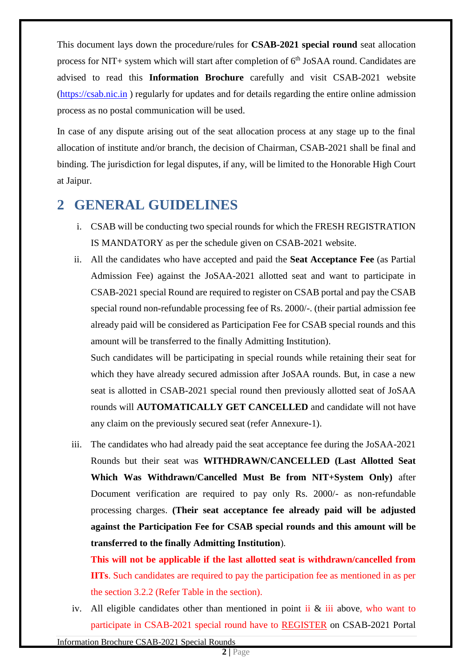This document lays down the procedure/rules for **CSAB-2021 special round** seat allocation process for NIT+ system which will start after completion of  $6<sup>th</sup>$  JoSAA round. Candidates are advised to read this **Information Brochure** carefully and visit CSAB-2021 website [\(https://csab.nic.in](https://csab.nic.in/) ) regularly for updates and for details regarding the entire online admission process as no postal communication will be used.

In case of any dispute arising out of the seat allocation process at any stage up to the final allocation of institute and/or branch, the decision of Chairman, CSAB-2021 shall be final and binding. The jurisdiction for legal disputes, if any, will be limited to the Honorable High Court at Jaipur.

## <span id="page-6-0"></span>**2 GENERAL GUIDELINES**

- i. CSAB will be conducting two special rounds for which the FRESH REGISTRATION IS MANDATORY as per the schedule given on CSAB-2021 website.
- ii. All the candidates who have accepted and paid the **Seat Acceptance Fee** (as Partial Admission Fee) against the JoSAA-2021 allotted seat and want to participate in CSAB-2021 special Round are required to register on CSAB portal and pay the CSAB special round non-refundable processing fee of Rs. 2000/-. (their partial admission fee already paid will be considered as Participation Fee for CSAB special rounds and this amount will be transferred to the finally Admitting Institution).

Such candidates will be participating in special rounds while retaining their seat for which they have already secured admission after JoSAA rounds. But, in case a new seat is allotted in CSAB-2021 special round then previously allotted seat of JoSAA rounds will **AUTOMATICALLY GET CANCELLED** and candidate will not have any claim on the previously secured seat (refer Annexure-1).

iii. The candidates who had already paid the seat acceptance fee during the JoSAA-2021 Rounds but their seat was **WITHDRAWN/CANCELLED (Last Allotted Seat Which Was Withdrawn/Cancelled Must Be from NIT+System Only)** after Document verification are required to pay only Rs. 2000/- as non-refundable processing charges. **(Their seat acceptance fee already paid will be adjusted against the Participation Fee for CSAB special rounds and this amount will be transferred to the finally Admitting Institution**).

**This will not be applicable if the last allotted seat is withdrawn/cancelled from IITs**. Such candidates are required to pay the participation fee as mentioned in as per the section 3.2.2 (Refer Table in the section).

iv. All eligible candidates other than mentioned in point ii  $\&$  iii above, who want to participate in CSAB-2021 special round have to REGISTER on CSAB-2021 Portal

Information Brochure CSAB-2021 Special Rounds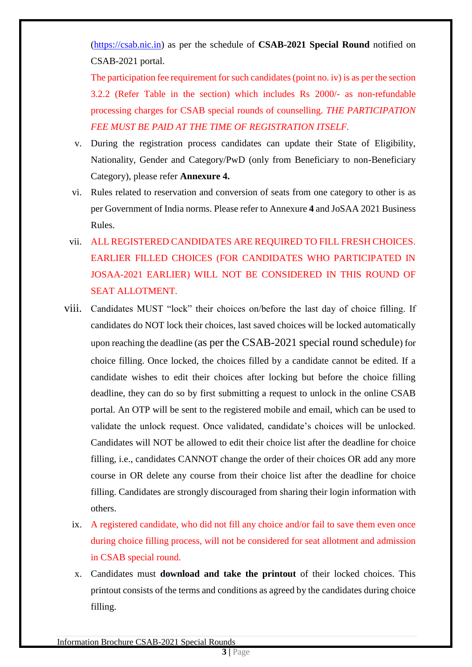[\(https://csab.nic.in\)](https://csab.nic.in/) as per the schedule of **CSAB-2021 Special Round** notified on CSAB-2021 portal.

The participation fee requirement for such candidates (point no. iv) is as per the section 3.2.2 (Refer Table in the section) which includes Rs 2000/- as non-refundable processing charges for CSAB special rounds of counselling. *THE PARTICIPATION FEE MUST BE PAID AT THE TIME OF REGISTRATION ITSELF.*

- v. During the registration process candidates can update their State of Eligibility, Nationality, Gender and Category/PwD (only from Beneficiary to non-Beneficiary Category), please refer **Annexure 4.**
- vi. Rules related to reservation and conversion of seats from one category to other is as per Government of India norms. Please refer to Annexure **4** and JoSAA 2021 Business Rules.
- vii. ALL REGISTERED CANDIDATES ARE REQUIRED TO FILL FRESH CHOICES. EARLIER FILLED CHOICES (FOR CANDIDATES WHO PARTICIPATED IN JOSAA-2021 EARLIER) WILL NOT BE CONSIDERED IN THIS ROUND OF SEAT ALLOTMENT.
- viii. Candidates MUST "lock" their choices on/before the last day of choice filling. If candidates do NOT lock their choices, last saved choices will be locked automatically upon reaching the deadline (as per the CSAB-2021 special round schedule) for choice filling. Once locked, the choices filled by a candidate cannot be edited. If a candidate wishes to edit their choices after locking but before the choice filling deadline, they can do so by first submitting a request to unlock in the online CSAB portal. An OTP will be sent to the registered mobile and email, which can be used to validate the unlock request. Once validated, candidate's choices will be unlocked. Candidates will NOT be allowed to edit their choice list after the deadline for choice filling, i.e., candidates CANNOT change the order of their choices OR add any more course in OR delete any course from their choice list after the deadline for choice filling. Candidates are strongly discouraged from sharing their login information with others.
	- ix. A registered candidate, who did not fill any choice and/or fail to save them even once during choice filling process, will not be considered for seat allotment and admission in CSAB special round.
	- x. Candidates must **download and take the printout** of their locked choices. This printout consists of the terms and conditions as agreed by the candidates during choice filling.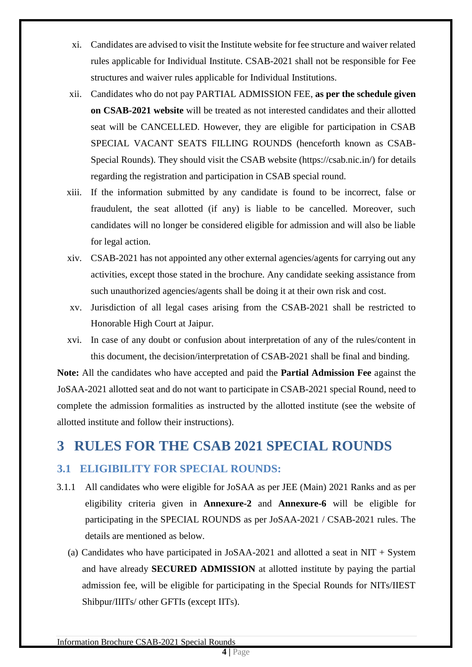- xi. Candidates are advised to visit the Institute website for fee structure and waiver related rules applicable for Individual Institute. CSAB-2021 shall not be responsible for Fee structures and waiver rules applicable for Individual Institutions.
- xii. Candidates who do not pay PARTIAL ADMISSION FEE, **as per the schedule given on CSAB-2021 website** will be treated as not interested candidates and their allotted seat will be CANCELLED. However, they are eligible for participation in CSAB SPECIAL VACANT SEATS FILLING ROUNDS (henceforth known as CSAB-Special Rounds). They should visit the CSAB website (https://csab.nic.in/) for details regarding the registration and participation in CSAB special round.
- xiii. If the information submitted by any candidate is found to be incorrect, false or fraudulent, the seat allotted (if any) is liable to be cancelled. Moreover, such candidates will no longer be considered eligible for admission and will also be liable for legal action.
- xiv. CSAB-2021 has not appointed any other external agencies/agents for carrying out any activities, except those stated in the brochure. Any candidate seeking assistance from such unauthorized agencies/agents shall be doing it at their own risk and cost.
- xv. Jurisdiction of all legal cases arising from the CSAB-2021 shall be restricted to Honorable High Court at Jaipur.
- xvi. In case of any doubt or confusion about interpretation of any of the rules/content in this document, the decision/interpretation of CSAB-2021 shall be final and binding.

**Note:** All the candidates who have accepted and paid the **Partial Admission Fee** against the JoSAA-2021 allotted seat and do not want to participate in CSAB-2021 special Round, need to complete the admission formalities as instructed by the allotted institute (see the website of allotted institute and follow their instructions).

## <span id="page-8-0"></span>**3 RULES FOR THE CSAB 2021 SPECIAL ROUNDS**

### <span id="page-8-1"></span>**3.1 ELIGIBILITY FOR SPECIAL ROUNDS:**

- 3.1.1 All candidates who were eligible for JoSAA as per JEE (Main) 2021 Ranks and as per eligibility criteria given in **Annexure-2** and **Annexure-6** will be eligible for participating in the SPECIAL ROUNDS as per JoSAA-2021 / CSAB-2021 rules. The details are mentioned as below.
	- (a) Candidates who have participated in JoSAA-2021 and allotted a seat in NIT + System and have already **SECURED ADMISSION** at allotted institute by paying the partial admission fee, will be eligible for participating in the Special Rounds for NITs/IIEST Shibpur/IIITs/ other GFTIs (except IITs).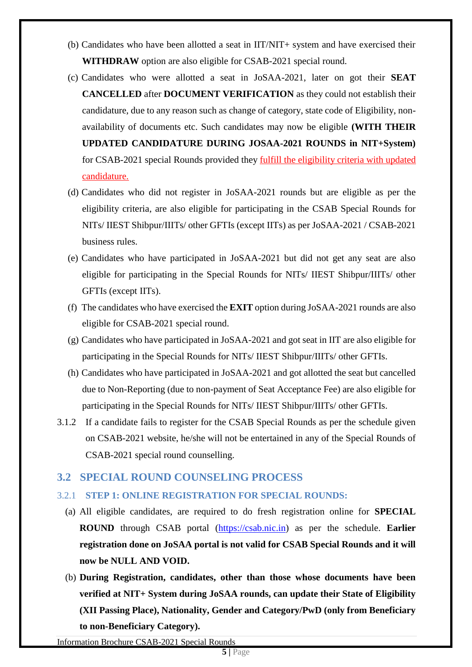- (b) Candidates who have been allotted a seat in IIT/NIT+ system and have exercised their **WITHDRAW** option are also eligible for CSAB-2021 special round.
- (c) Candidates who were allotted a seat in JoSAA-2021, later on got their **SEAT CANCELLED** after **DOCUMENT VERIFICATION** as they could not establish their candidature, due to any reason such as change of category, state code of Eligibility, nonavailability of documents etc. Such candidates may now be eligible **(WITH THEIR UPDATED CANDIDATURE DURING JOSAA-2021 ROUNDS in NIT+System)** for CSAB-2021 special Rounds provided they fulfill the eligibility criteria with updated candidature.
- (d) Candidates who did not register in JoSAA-2021 rounds but are eligible as per the eligibility criteria, are also eligible for participating in the CSAB Special Rounds for NITs/ IIEST Shibpur/IIITs/ other GFTIs (except IITs) as per JoSAA-2021 / CSAB-2021 business rules.
- (e) Candidates who have participated in JoSAA-2021 but did not get any seat are also eligible for participating in the Special Rounds for NITs/ IIEST Shibpur/IIITs/ other GFTIs (except IITs).
- (f) The candidates who have exercised the **EXIT** option during JoSAA-2021 rounds are also eligible for CSAB-2021 special round.
- (g) Candidates who have participated in JoSAA-2021 and got seat in IIT are also eligible for participating in the Special Rounds for NITs/ IIEST Shibpur/IIITs/ other GFTIs.
- (h) Candidates who have participated in JoSAA-2021 and got allotted the seat but cancelled due to Non-Reporting (due to non-payment of Seat Acceptance Fee) are also eligible for participating in the Special Rounds for NITs/ IIEST Shibpur/IIITs/ other GFTIs.
- 3.1.2 If a candidate fails to register for the CSAB Special Rounds as per the schedule given on CSAB-2021 website, he/she will not be entertained in any of the Special Rounds of CSAB-2021 special round counselling.

#### <span id="page-9-0"></span>**3.2 SPECIAL ROUND COUNSELING PROCESS**

#### <span id="page-9-1"></span>3.2.1 **STEP 1: ONLINE REGISTRATION FOR SPECIAL ROUNDS:**

- (a) All eligible candidates, are required to do fresh registration online for **SPECIAL ROUND** through CSAB portal [\(https://csab.nic.in\)](https://csab.nic.in/) as per the schedule. **Earlier registration done on JoSAA portal is not valid for CSAB Special Rounds and it will now be NULL AND VOID.**
- (b) **During Registration, candidates, other than those whose documents have been verified at NIT+ System during JoSAA rounds, can update their State of Eligibility (XII Passing Place), Nationality, Gender and Category/PwD (only from Beneficiary to non-Beneficiary Category).**

Information Brochure CSAB-2021 Special Rounds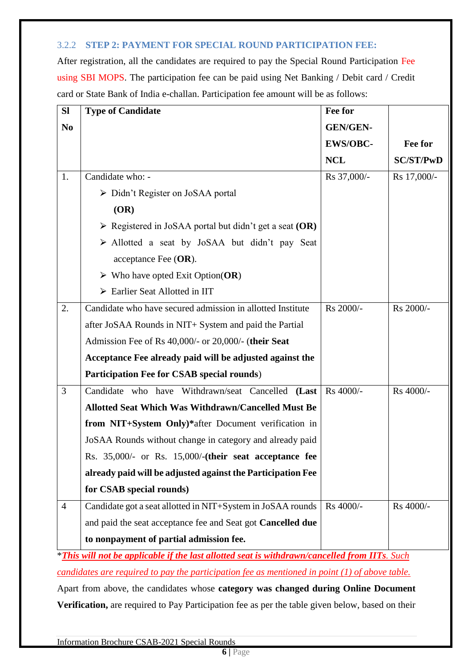#### <span id="page-10-0"></span>3.2.2 **STEP 2: PAYMENT FOR SPECIAL ROUND PARTICIPATION FEE:**

After registration, all the candidates are required to pay the Special Round Participation Fee using SBI MOPS. The participation fee can be paid using Net Banking / Debit card / Credit card or State Bank of India e-challan. Participation fee amount will be as follows:

| SI             | <b>Type of Candidate</b>                                               | Fee for         |                  |
|----------------|------------------------------------------------------------------------|-----------------|------------------|
| N <sub>0</sub> |                                                                        | <b>GEN/GEN-</b> |                  |
|                |                                                                        | <b>EWS/OBC-</b> | Fee for          |
|                |                                                                        | <b>NCL</b>      | <b>SC/ST/PwD</b> |
| 1.             | Candidate who: -                                                       | Rs 37,000/-     | Rs 17,000/-      |
|                | $\triangleright$ Didn't Register on JoSAA portal                       |                 |                  |
|                | (OR)                                                                   |                 |                  |
|                | $\triangleright$ Registered in JoSAA portal but didn't get a seat (OR) |                 |                  |
|                | > Allotted a seat by JoSAA but didn't pay Seat                         |                 |                  |
|                | acceptance Fee $(OR)$ .                                                |                 |                  |
|                | $\triangleright$ Who have opted Exit Option(OR)                        |                 |                  |
|                | > Earlier Seat Allotted in IIT                                         |                 |                  |
| 2.             | Candidate who have secured admission in allotted Institute             | Rs 2000/-       | Rs 2000/-        |
|                | after JoSAA Rounds in NIT+ System and paid the Partial                 |                 |                  |
|                | Admission Fee of Rs 40,000/- or 20,000/- (their Seat                   |                 |                  |
|                | Acceptance Fee already paid will be adjusted against the               |                 |                  |
|                | Participation Fee for CSAB special rounds)                             |                 |                  |
| 3              | Candidate who have Withdrawn/seat Cancelled (Last                      | Rs 4000/-       | Rs 4000/-        |
|                | <b>Allotted Seat Which Was Withdrawn/Cancelled Must Be</b>             |                 |                  |
|                | from NIT+System Only)*after Document verification in                   |                 |                  |
|                | JoSAA Rounds without change in category and already paid               |                 |                  |
|                | Rs. 35,000/- or Rs. 15,000/-(their seat acceptance fee                 |                 |                  |
|                | already paid will be adjusted against the Participation Fee            |                 |                  |
|                | for CSAB special rounds)                                               |                 |                  |
| $\overline{4}$ | Candidate got a seat allotted in NIT+System in JoSAA rounds            | Rs 4000/-       | Rs 4000/-        |
|                | and paid the seat acceptance fee and Seat got Cancelled due            |                 |                  |
|                | to nonpayment of partial admission fee.                                |                 |                  |
|                |                                                                        |                 |                  |

\**This will not be applicable if the last allotted seat is withdrawn/cancelled from IITs. Such candidates are required to pay the participation fee as mentioned in point (1) of above table.* 

Apart from above, the candidates whose **category was changed during Online Document Verification,** are required to Pay Participation fee as per the table given below, based on their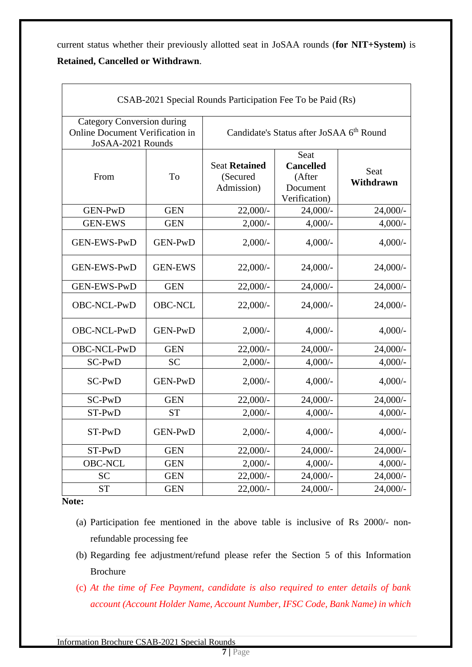current status whether their previously allotted seat in JoSAA rounds (**for NIT+System)** is **Retained, Cancelled or Withdrawn**.

| CSAB-2021 Special Rounds Participation Fee To be Paid (Rs)                                |                |                                                |                                                                 |                   |  |  |
|-------------------------------------------------------------------------------------------|----------------|------------------------------------------------|-----------------------------------------------------------------|-------------------|--|--|
| <b>Category Conversion during</b><br>Online Document Verification in<br>JoSAA-2021 Rounds |                |                                                | Candidate's Status after JoSAA 6 <sup>th</sup> Round            |                   |  |  |
| From                                                                                      | To             | <b>Seat Retained</b><br>(Secured<br>Admission) | Seat<br><b>Cancelled</b><br>(After<br>Document<br>Verification) | Seat<br>Withdrawn |  |  |
| <b>GEN-PwD</b>                                                                            | <b>GEN</b>     | $22,000/-$                                     | $24,000/-$                                                      | $24,000/-$        |  |  |
| <b>GEN-EWS</b>                                                                            | <b>GEN</b>     | $2,000/-$                                      | $4,000/-$                                                       | $4,000/-$         |  |  |
| <b>GEN-EWS-PwD</b>                                                                        | <b>GEN-PwD</b> | $2,000/-$                                      | $4,000/-$                                                       | $4,000/-$         |  |  |
| <b>GEN-EWS-PwD</b>                                                                        | <b>GEN-EWS</b> | $22,000/-$                                     | $24,000/-$                                                      | 24,000/-          |  |  |
| <b>GEN-EWS-PwD</b>                                                                        | <b>GEN</b>     | $22,000/-$                                     | $24,000/-$                                                      | $24,000/-$        |  |  |
| OBC-NCL-PwD                                                                               | <b>OBC-NCL</b> | $22,000/-$                                     | $24,000/-$                                                      | 24,000/-          |  |  |
| OBC-NCL-PwD                                                                               | GEN-PwD        | $2,000/-$                                      | $4,000/-$                                                       | $4,000/-$         |  |  |
| OBC-NCL-PwD                                                                               | <b>GEN</b>     | $22,000/-$                                     | $24,000/-$                                                      | 24,000/-          |  |  |
| SC-PwD                                                                                    | <b>SC</b>      | $2,000/-$                                      | $4,000/-$                                                       | $4,000/-$         |  |  |
| SC-PwD                                                                                    | <b>GEN-PwD</b> | $2,000/-$                                      | $4,000/-$                                                       | $4,000/-$         |  |  |
| SC-PwD                                                                                    | <b>GEN</b>     | 22,000/-                                       | $24,000/-$                                                      | 24,000/-          |  |  |
| ST-PwD                                                                                    | <b>ST</b>      | $2,000/-$                                      | $4,000/-$                                                       | $4,000/-$         |  |  |
| ST-PwD                                                                                    | <b>GEN-PwD</b> | $2,000/-$                                      | $4,000/-$                                                       | $4,000/-$         |  |  |
| ST-PwD                                                                                    | <b>GEN</b>     | $22,000/-$                                     | $24,000/-$                                                      | $24,000/-$        |  |  |
| <b>OBC-NCL</b>                                                                            | <b>GEN</b>     | $2,000/-$                                      | $4,000/-$                                                       | $4,000/-$         |  |  |
| <b>SC</b>                                                                                 | <b>GEN</b>     | $22,000/-$                                     | $24,000/-$                                                      | 24,000/-          |  |  |
| <b>ST</b>                                                                                 | <b>GEN</b>     | 22,000/-                                       | 24,000/-                                                        | 24,000/-          |  |  |

**Note:**

- (a) Participation fee mentioned in the above table is inclusive of Rs 2000/- nonrefundable processing fee
- (b) Regarding fee adjustment/refund please refer the Section 5 of this Information Brochure
- (c) *At the time of Fee Payment, candidate is also required to enter details of bank account (Account Holder Name, Account Number, IFSC Code, Bank Name) in which*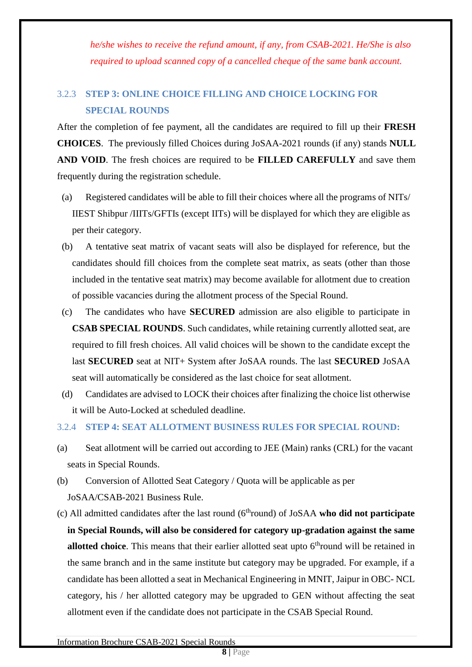*he/she wishes to receive the refund amount, if any, from CSAB-2021. He/She is also required to upload scanned copy of a cancelled cheque of the same bank account.*

## <span id="page-12-0"></span>3.2.3 **STEP 3: ONLINE CHOICE FILLING AND CHOICE LOCKING FOR SPECIAL ROUNDS**

After the completion of fee payment, all the candidates are required to fill up their **FRESH CHOICES**. The previously filled Choices during JoSAA-2021 rounds (if any) stands **NULL AND VOID**. The fresh choices are required to be **FILLED CAREFULLY** and save them frequently during the registration schedule.

- (a) Registered candidates will be able to fill their choices where all the programs of NITs/ IIEST Shibpur /IIITs/GFTIs (except IITs) will be displayed for which they are eligible as per their category.
- (b) A tentative seat matrix of vacant seats will also be displayed for reference, but the candidates should fill choices from the complete seat matrix, as seats (other than those included in the tentative seat matrix) may become available for allotment due to creation of possible vacancies during the allotment process of the Special Round.
- (c) The candidates who have **SECURED** admission are also eligible to participate in **CSAB SPECIAL ROUNDS**. Such candidates, while retaining currently allotted seat, are required to fill fresh choices. All valid choices will be shown to the candidate except the last **SECURED** seat at NIT+ System after JoSAA rounds. The last **SECURED** JoSAA seat will automatically be considered as the last choice for seat allotment.
- (d) Candidates are advised to LOCK their choices after finalizing the choice list otherwise it will be Auto-Locked at scheduled deadline.

#### <span id="page-12-1"></span>3.2.4 **STEP 4: SEAT ALLOTMENT BUSINESS RULES FOR SPECIAL ROUND:**

- (a) Seat allotment will be carried out according to JEE (Main) ranks (CRL) for the vacant seats in Special Rounds.
- (b) Conversion of Allotted Seat Category / Quota will be applicable as per JoSAA/CSAB-2021 Business Rule.
- (c) All admitted candidates after the last round (6thround) of JoSAA **who did not participate in Special Rounds, will also be considered for category up-gradation against the same allotted choice**. This means that their earlier allotted seat upto 6<sup>th</sup>round will be retained in the same branch and in the same institute but category may be upgraded. For example, if a candidate has been allotted a seat in Mechanical Engineering in MNIT, Jaipur in OBC- NCL category, his / her allotted category may be upgraded to GEN without affecting the seat allotment even if the candidate does not participate in the CSAB Special Round.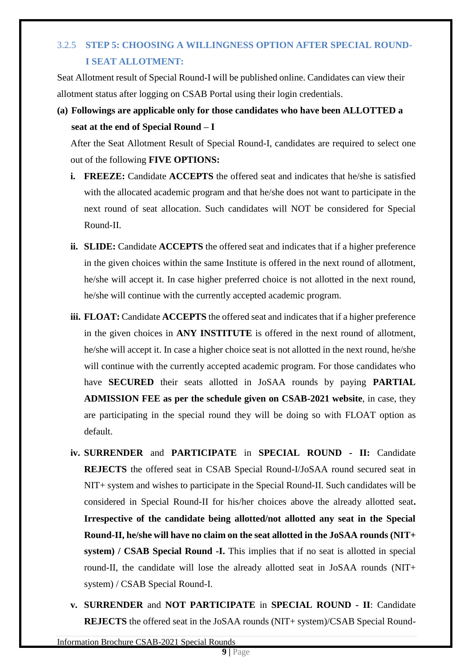## <span id="page-13-0"></span>3.2.5 **STEP 5: CHOOSING A WILLINGNESS OPTION AFTER SPECIAL ROUND-I SEAT ALLOTMENT:**

Seat Allotment result of Special Round-I will be published online. Candidates can view their allotment status after logging on CSAB Portal using their login credentials.

**(a) Followings are applicable only for those candidates who have been ALLOTTED a seat at the end of Special Round – I**

After the Seat Allotment Result of Special Round-I, candidates are required to select one out of the following **FIVE OPTIONS:**

- **i. FREEZE:** Candidate **ACCEPTS** the offered seat and indicates that he/she is satisfied with the allocated academic program and that he/she does not want to participate in the next round of seat allocation. Such candidates will NOT be considered for Special Round-II.
- **ii. SLIDE:** Candidate **ACCEPTS** the offered seat and indicates that if a higher preference in the given choices within the same Institute is offered in the next round of allotment, he/she will accept it. In case higher preferred choice is not allotted in the next round, he/she will continue with the currently accepted academic program.
- **iii. FLOAT:** Candidate **ACCEPTS** the offered seat and indicates that if a higher preference in the given choices in **ANY INSTITUTE** is offered in the next round of allotment, he/she will accept it. In case a higher choice seat is not allotted in the next round, he/she will continue with the currently accepted academic program. For those candidates who have **SECURED** their seats allotted in JoSAA rounds by paying **PARTIAL ADMISSION FEE as per the schedule given on CSAB-2021 website**, in case, they are participating in the special round they will be doing so with FLOAT option as default.
- **iv. SURRENDER** and **PARTICIPATE** in **SPECIAL ROUND - II:** Candidate **REJECTS** the offered seat in CSAB Special Round-I/JoSAA round secured seat in NIT+ system and wishes to participate in the Special Round-II. Such candidates will be considered in Special Round-II for his/her choices above the already allotted seat**. Irrespective of the candidate being allotted/not allotted any seat in the Special Round-II, he/she will have no claim on the seat allotted in the JoSAA rounds (NIT+ system) / CSAB Special Round -I.** This implies that if no seat is allotted in special round-II, the candidate will lose the already allotted seat in JoSAA rounds (NIT+ system) / CSAB Special Round-I.
- **v. SURRENDER** and **NOT PARTICIPATE** in **SPECIAL ROUND - II**: Candidate **REJECTS** the offered seat in the JoSAA rounds (NIT+ system)/CSAB Special Round-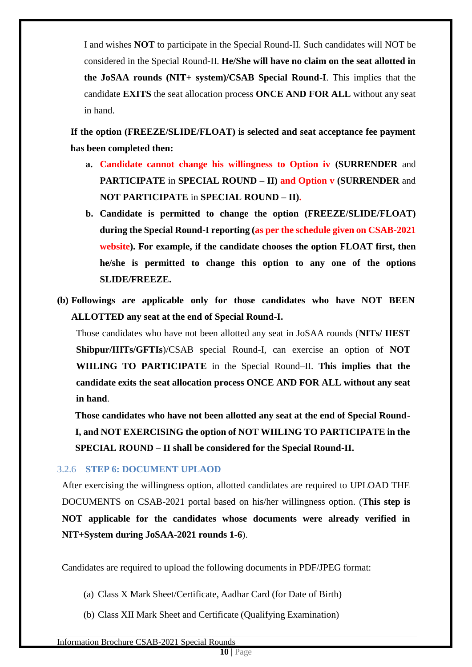I and wishes **NOT** to participate in the Special Round-II. Such candidates will NOT be considered in the Special Round-II. **He/She will have no claim on the seat allotted in the JoSAA rounds (NIT+ system)/CSAB Special Round-I**. This implies that the candidate **EXITS** the seat allocation process **ONCE AND FOR ALL** without any seat in hand.

**If the option (FREEZE/SLIDE/FLOAT) is selected and seat acceptance fee payment has been completed then:**

- **a. Candidate cannot change his willingness to Option iv (SURRENDER** and **PARTICIPATE** in **SPECIAL ROUND – II) and Option v (SURRENDER** and **NOT PARTICIPATE** in **SPECIAL ROUND – II).**
- **b. Candidate is permitted to change the option (FREEZE/SLIDE/FLOAT) during the Special Round-I reporting (as per the schedule given on CSAB-2021 website). For example, if the candidate chooses the option FLOAT first, then he/she is permitted to change this option to any one of the options SLIDE/FREEZE.**
- **(b) Followings are applicable only for those candidates who have NOT BEEN ALLOTTED any seat at the end of Special Round-I.**

Those candidates who have not been allotted any seat in JoSAA rounds (**NITs/ IIEST Shibpur/IIITs/GFTIs**)/CSAB special Round-I, can exercise an option of **NOT WIILING TO PARTICIPATE** in the Special Round–II. **This implies that the candidate exits the seat allocation process ONCE AND FOR ALL without any seat in hand**.

**Those candidates who have not been allotted any seat at the end of Special Round-I, and NOT EXERCISING the option of NOT WIILING TO PARTICIPATE in the SPECIAL ROUND – II shall be considered for the Special Round-II.**

#### <span id="page-14-0"></span>3.2.6 **STEP 6: DOCUMENT UPLAOD**

After exercising the willingness option, allotted candidates are required to UPLOAD THE DOCUMENTS on CSAB-2021 portal based on his/her willingness option. (**This step is NOT applicable for the candidates whose documents were already verified in NIT+System during JoSAA-2021 rounds 1-6**).

Candidates are required to upload the following documents in PDF/JPEG format:

- (a) Class X Mark Sheet/Certificate, Aadhar Card (for Date of Birth)
- (b) Class XII Mark Sheet and Certificate (Qualifying Examination)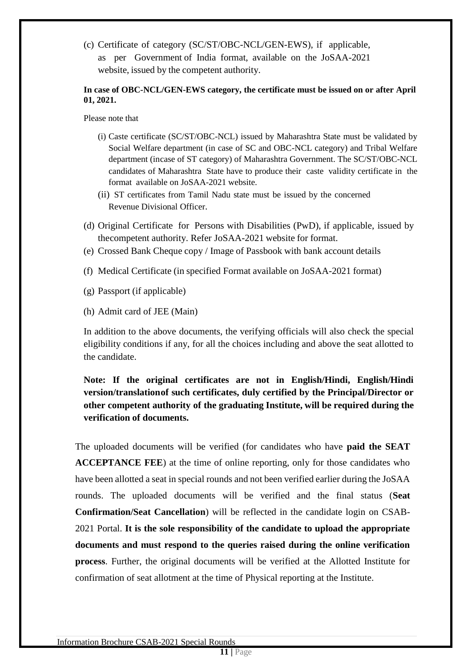(c) Certificate of category (SC/ST/OBC-NCL/GEN-EWS), if applicable, as per Government of India format, available on the JoSAA-2021 website, issued by the competent authority.

#### **In case of OBC-NCL/GEN-EWS category, the certificate must be issued on or after April 01, 2021.**

Please note that

- (i) Caste certificate (SC/ST/OBC-NCL) issued by Maharashtra State must be validated by Social Welfare department (in case of SC and OBC-NCL category) and Tribal Welfare department (incase of ST category) of Maharashtra Government. The SC/ST/OBC-NCL candidates of Maharashtra State have to produce their caste validity certificate in the format available on JoSAA-2021 website.
- (ii) ST certificates from Tamil Nadu state must be issued by the concerned Revenue Divisional Officer.
- (d) Original Certificate for Persons with Disabilities (PwD), if applicable, issued by thecompetent authority. Refer JoSAA-2021 website for format.
- (e) Crossed Bank Cheque copy / Image of Passbook with bank account details
- (f) Medical Certificate (in specified Format available on JoSAA-2021 format)
- (g) Passport (if applicable)
- (h) Admit card of JEE (Main)

In addition to the above documents, the verifying officials will also check the special eligibility conditions if any, for all the choices including and above the seat allotted to the candidate.

#### **Note: If the original certificates are not in English/Hindi, English/Hindi version/translationof such certificates, duly certified by the Principal/Director or other competent authority of the graduating Institute, will be required during the verification of documents.**

The uploaded documents will be verified (for candidates who have **paid the SEAT ACCEPTANCE FEE**) at the time of online reporting, only for those candidates who have been allotted a seat in special rounds and not been verified earlier during the JoSAA rounds. The uploaded documents will be verified and the final status (**Seat Confirmation/Seat Cancellation**) will be reflected in the candidate login on CSAB-2021 Portal. **It is the sole responsibility of the candidate to upload the appropriate documents and must respond to the queries raised during the online verification process**. Further, the original documents will be verified at the Allotted Institute for confirmation of seat allotment at the time of Physical reporting at the Institute.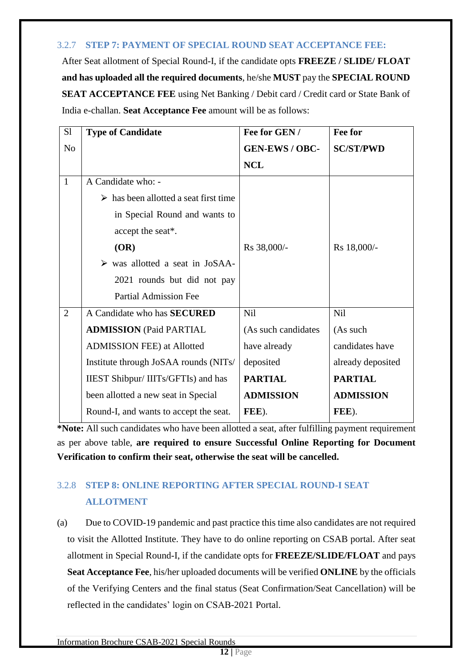#### <span id="page-16-0"></span>3.2.7 **STEP 7: PAYMENT OF SPECIAL ROUND SEAT ACCEPTANCE FEE:**

After Seat allotment of Special Round-I, if the candidate opts **FREEZE / SLIDE/ FLOAT and has uploaded all the required documents**, he/she **MUST** pay the **SPECIAL ROUND SEAT ACCEPTANCE FEE** using Net Banking / Debit card / Credit card or State Bank of India e-challan. **Seat Acceptance Fee** amount will be as follows:

| S1             | <b>Type of Candidate</b>                             | Fee for GEN /         | Fee for           |
|----------------|------------------------------------------------------|-----------------------|-------------------|
| N <sub>o</sub> |                                                      | <b>GEN-EWS / OBC-</b> | <b>SC/ST/PWD</b>  |
|                |                                                      | <b>NCL</b>            |                   |
| $\mathbf{1}$   | A Candidate who: -                                   |                       |                   |
|                | $\triangleright$ has been allotted a seat first time |                       |                   |
|                | in Special Round and wants to                        |                       |                   |
|                | accept the seat*.                                    |                       |                   |
|                | (OR)                                                 | Rs 38,000/-           | Rs 18,000/-       |
|                | $\triangleright$ was allotted a seat in JoSAA-       |                       |                   |
|                | 2021 rounds but did not pay                          |                       |                   |
|                | <b>Partial Admission Fee</b>                         |                       |                   |
| $\overline{2}$ | A Candidate who has <b>SECURED</b>                   | <b>Nil</b>            | <b>Nil</b>        |
|                | <b>ADMISSION (Paid PARTIAL</b>                       | (As such candidates   | (As such          |
|                | <b>ADMISSION FEE) at Allotted</b>                    | have already          | candidates have   |
|                | Institute through JoSAA rounds (NITs/                | deposited             | already deposited |
|                | IIEST Shibpur/ IIITs/GFTIs) and has                  | <b>PARTIAL</b>        | <b>PARTIAL</b>    |
|                | been allotted a new seat in Special                  | <b>ADMISSION</b>      | <b>ADMISSION</b>  |
|                | Round-I, and wants to accept the seat.               | FEE).                 | FEE).             |

**\*Note:** All such candidates who have been allotted a seat, after fulfilling payment requirement as per above table, **are required to ensure Successful Online Reporting for Document Verification to confirm their seat, otherwise the seat will be cancelled.**

## <span id="page-16-1"></span>3.2.8 **STEP 8: ONLINE REPORTING AFTER SPECIAL ROUND-I SEAT ALLOTMENT**

(a) Due to COVID-19 pandemic and past practice this time also candidates are not required to visit the Allotted Institute. They have to do online reporting on CSAB portal. After seat allotment in Special Round-I, if the candidate opts for **FREEZE/SLIDE/FLOAT** and pays **Seat Acceptance Fee**, his/her uploaded documents will be verified **ONLINE** by the officials of the Verifying Centers and the final status (Seat Confirmation/Seat Cancellation) will be reflected in the candidates' login on CSAB-2021 Portal.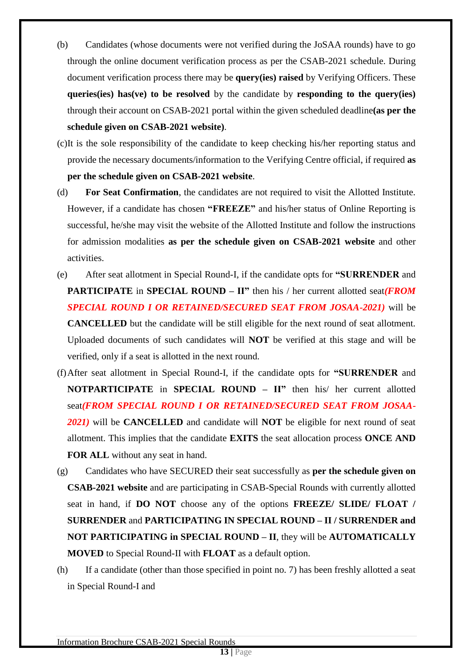- (b) Candidates (whose documents were not verified during the JoSAA rounds) have to go through the online document verification process as per the CSAB-2021 schedule. During document verification process there may be **query(ies) raised** by Verifying Officers. These **queries(ies) has(ve) to be resolved** by the candidate by **responding to the query(ies)** through their account on CSAB-2021 portal within the given scheduled deadline**(as per the schedule given on CSAB-2021 website)**.
- (c)It is the sole responsibility of the candidate to keep checking his/her reporting status and provide the necessary documents/information to the Verifying Centre official, if required **as per the schedule given on CSAB-2021 website**.
- (d) **For Seat Confirmation**, the candidates are not required to visit the Allotted Institute. However, if a candidate has chosen **"FREEZE"** and his/her status of Online Reporting is successful, he/she may visit the website of the Allotted Institute and follow the instructions for admission modalities **as per the schedule given on CSAB-2021 website** and other activities.
- (e) After seat allotment in Special Round-I, if the candidate opts for **"SURRENDER** and **PARTICIPATE** in **SPECIAL ROUND – II"** then his / her current allotted seat*(FROM SPECIAL ROUND I OR RETAINED/SECURED SEAT FROM JOSAA-2021)* will be **CANCELLED** but the candidate will be still eligible for the next round of seat allotment. Uploaded documents of such candidates will **NOT** be verified at this stage and will be verified, only if a seat is allotted in the next round.
- (f)After seat allotment in Special Round-I, if the candidate opts for **"SURRENDER** and **NOTPARTICIPATE** in **SPECIAL ROUND – II"** then his/ her current allotted seat*(FROM SPECIAL ROUND I OR RETAINED/SECURED SEAT FROM JOSAA-2021)* will be **CANCELLED** and candidate will **NOT** be eligible for next round of seat allotment. This implies that the candidate **EXITS** the seat allocation process **ONCE AND FOR ALL** without any seat in hand.
- (g) Candidates who have SECURED their seat successfully as **per the schedule given on CSAB-2021 website** and are participating in CSAB-Special Rounds with currently allotted seat in hand, if **DO NOT** choose any of the options **FREEZE/ SLIDE/ FLOAT / SURRENDER** and **PARTICIPATING IN SPECIAL ROUND – II / SURRENDER and NOT PARTICIPATING in SPECIAL ROUND – II**, they will be **AUTOMATICALLY MOVED** to Special Round-II with **FLOAT** as a default option.
- (h) If a candidate (other than those specified in point no. 7) has been freshly allotted a seat in Special Round-I and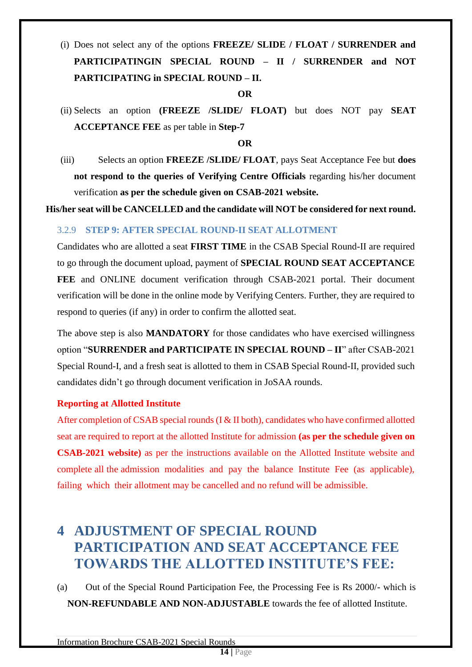## (i) Does not select any of the options **FREEZE/ SLIDE / FLOAT / SURRENDER and PARTICIPATINGIN SPECIAL ROUND – II / SURRENDER and NOT PARTICIPATING in SPECIAL ROUND – II.**

**OR**

(ii) Selects an option **(FREEZE /SLIDE/ FLOAT)** but does NOT pay **SEAT ACCEPTANCE FEE** as per table in **Step-7**

#### **OR**

(iii) Selects an option **FREEZE /SLIDE/ FLOAT**, pays Seat Acceptance Fee but **does not respond to the queries of Verifying Centre Officials** regarding his/her document verification **as per the schedule given on CSAB-2021 website.**

**His/her seat will be CANCELLED and the candidate will NOT be considered for next round.**

#### <span id="page-18-0"></span>3.2.9 **STEP 9: AFTER SPECIAL ROUND-II SEAT ALLOTMENT**

Candidates who are allotted a seat **FIRST TIME** in the CSAB Special Round-II are required to go through the document upload, payment of **SPECIAL ROUND SEAT ACCEPTANCE FEE** and ONLINE document verification through CSAB-2021 portal. Their document verification will be done in the online mode by Verifying Centers. Further, they are required to respond to queries (if any) in order to confirm the allotted seat.

The above step is also **MANDATORY** for those candidates who have exercised willingness option "**SURRENDER and PARTICIPATE IN SPECIAL ROUND – II**" after CSAB-2021 Special Round-I, and a fresh seat is allotted to them in CSAB Special Round-II, provided such candidates didn't go through document verification in JoSAA rounds.

#### **Reporting at Allotted Institute**

After completion of CSAB special rounds (I & II both), candidates who have confirmed allotted seat are required to report at the allotted Institute for admission **(as per the schedule given on CSAB-2021 website)** as per the instructions available on the Allotted Institute website and complete all the admission modalities and pay the balance Institute Fee (as applicable), failing which their allotment may be cancelled and no refund will be admissible.

## <span id="page-18-1"></span>**4 ADJUSTMENT OF SPECIAL ROUND PARTICIPATION AND SEAT ACCEPTANCE FEE TOWARDS THE ALLOTTED INSTITUTE'S FEE:**

(a) Out of the Special Round Participation Fee, the Processing Fee is Rs 2000/- which is **NON-REFUNDABLE AND NON-ADJUSTABLE** towards the fee of allotted Institute.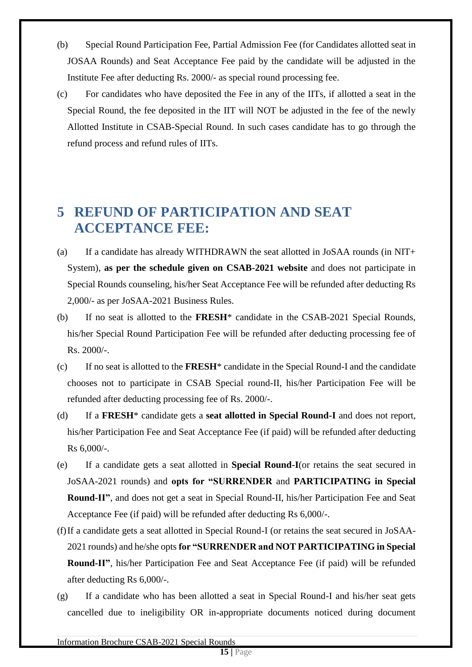- (b) Special Round Participation Fee, Partial Admission Fee (for Candidates allotted seat in JOSAA Rounds) and Seat Acceptance Fee paid by the candidate will be adjusted in the Institute Fee after deducting Rs. 2000/- as special round processing fee.
- (c) For candidates who have deposited the Fee in any of the IITs, if allotted a seat in the Special Round, the fee deposited in the IIT will NOT be adjusted in the fee of the newly Allotted Institute in CSAB-Special Round. In such cases candidate has to go through the refund process and refund rules of IITs.

## <span id="page-19-0"></span>**5 REFUND OF PARTICIPATION AND SEAT ACCEPTANCE FEE:**

- (a) If a candidate has already WITHDRAWN the seat allotted in JoSAA rounds (in NIT+ System), **as per the schedule given on CSAB-2021 website** and does not participate in Special Rounds counseling, his/her Seat Acceptance Fee will be refunded after deducting Rs 2,000/- as per JoSAA-2021 Business Rules.
- (b) If no seat is allotted to the **FRESH**\* candidate in the CSAB-2021 Special Rounds, his/her Special Round Participation Fee will be refunded after deducting processing fee of Rs. 2000/-.
- (c) If no seat is allotted to the **FRESH**\* candidate in the Special Round-I and the candidate chooses not to participate in CSAB Special round-II, his/her Participation Fee will be refunded after deducting processing fee of Rs. 2000/-.
- (d) If a **FRESH**\* candidate gets a **seat allotted in Special Round-I** and does not report, his/her Participation Fee and Seat Acceptance Fee (if paid) will be refunded after deducting Rs 6,000/-.
- (e) If a candidate gets a seat allotted in **Special Round-I**(or retains the seat secured in JoSAA-2021 rounds) and **opts for "SURRENDER** and **PARTICIPATING in Special Round-II"**, and does not get a seat in Special Round-II, his/her Participation Fee and Seat Acceptance Fee (if paid) will be refunded after deducting Rs 6,000/-.
- (f)If a candidate gets a seat allotted in Special Round-I (or retains the seat secured in JoSAA-2021 rounds) and he/she opts **for "SURRENDER and NOT PARTICIPATING in Special Round-II"**, his/her Participation Fee and Seat Acceptance Fee (if paid) will be refunded after deducting Rs 6,000/-.
- (g) If a candidate who has been allotted a seat in Special Round-I and his/her seat gets cancelled due to ineligibility OR in-appropriate documents noticed during document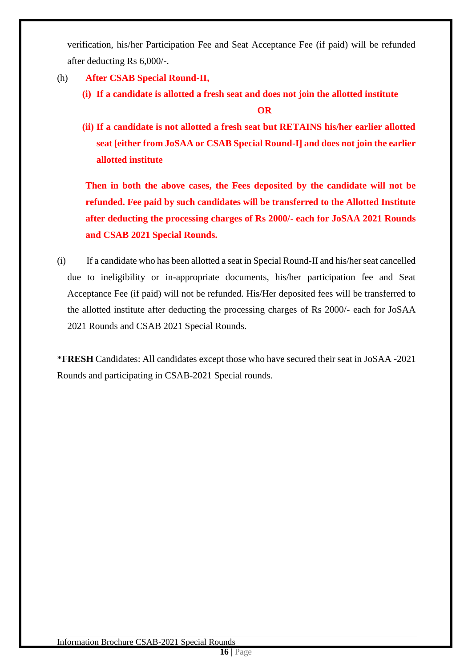verification, his/her Participation Fee and Seat Acceptance Fee (if paid) will be refunded after deducting Rs 6,000/-.

- (h) **After CSAB Special Round-II,** 
	- **(i) If a candidate is allotted a fresh seat and does not join the allotted institute**

**OR**

**(ii) If a candidate is not allotted a fresh seat but RETAINS his/her earlier allotted seat [either from JoSAA or CSAB Special Round-I] and does not join the earlier allotted institute**

**Then in both the above cases, the Fees deposited by the candidate will not be refunded. Fee paid by such candidates will be transferred to the Allotted Institute after deducting the processing charges of Rs 2000/- each for JoSAA 2021 Rounds and CSAB 2021 Special Rounds.** 

(i) If a candidate who has been allotted a seat in Special Round-II and his/her seat cancelled due to ineligibility or in-appropriate documents, his/her participation fee and Seat Acceptance Fee (if paid) will not be refunded. His/Her deposited fees will be transferred to the allotted institute after deducting the processing charges of Rs 2000/- each for JoSAA 2021 Rounds and CSAB 2021 Special Rounds.

\***FRESH** Candidates: All candidates except those who have secured their seat in JoSAA -2021 Rounds and participating in CSAB-2021 Special rounds.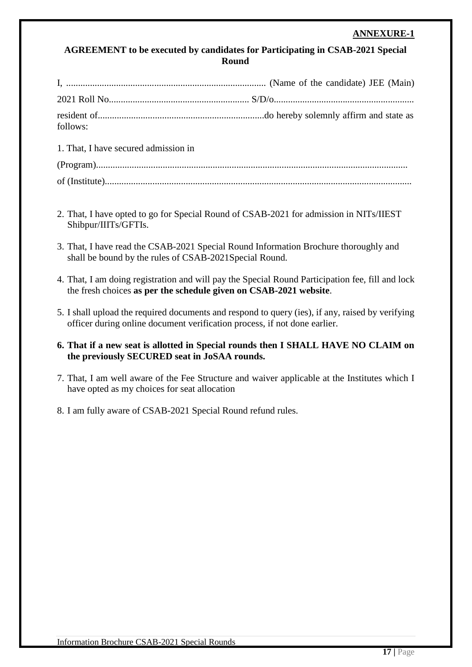#### <span id="page-21-0"></span>**AGREEMENT to be executed by candidates for Participating in CSAB-2021 Special Round**

| follows:                             |  |
|--------------------------------------|--|
| 1. That, I have secured admission in |  |

- 2. That, I have opted to go for Special Round of CSAB-2021 for admission in NITs/IIEST Shibpur/IIITs/GFTIs.
- 3. That, I have read the CSAB-2021 Special Round Information Brochure thoroughly and shall be bound by the rules of CSAB-2021Special Round.
- 4. That, I am doing registration and will pay the Special Round Participation fee, fill and lock the fresh choices **as per the schedule given on CSAB-2021 website**.
- 5. I shall upload the required documents and respond to query (ies), if any, raised by verifying officer during online document verification process, if not done earlier.

#### **6. That if a new seat is allotted in Special rounds then I SHALL HAVE NO CLAIM on the previously SECURED seat in JoSAA rounds.**

- 7. That, I am well aware of the Fee Structure and waiver applicable at the Institutes which I have opted as my choices for seat allocation
- 8. I am fully aware of CSAB-2021 Special Round refund rules.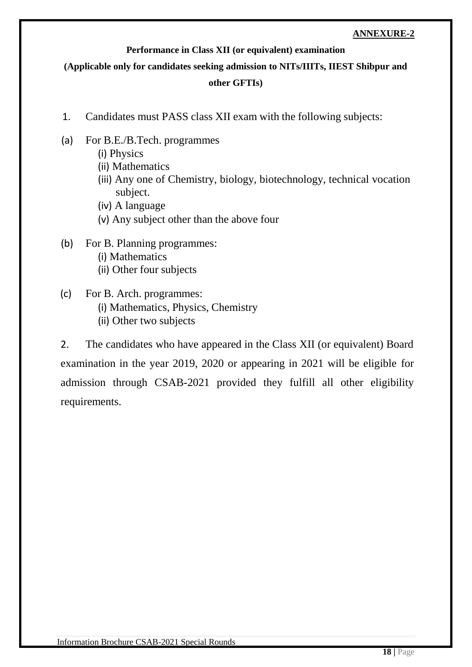#### **Performance in Class XII (or equivalent) examination**

#### <span id="page-22-0"></span>**(Applicable only for candidates seeking admission to NITs/IIITs, IIEST Shibpur and**

#### **other GFTIs)**

- 1. Candidates must PASS class XII exam with the following subjects:
- (a) For B.E./B.Tech. programmes
	- (i) Physics
	- (ii) Mathematics
	- (iii) Any one of Chemistry, biology, biotechnology, technical vocation subject.
	- (iv) A language
	- (v) Any subject other than the above four
- (b) For B. Planning programmes: (i) Mathematics (ii) Other four subjects
- (c) For B. Arch. programmes: (i) Mathematics, Physics, Chemistry (ii) Other two subjects

2. The candidates who have appeared in the Class XII (or equivalent) Board examination in the year 2019, 2020 or appearing in 2021 will be eligible for admission through CSAB-2021 provided they fulfill all other eligibility requirements.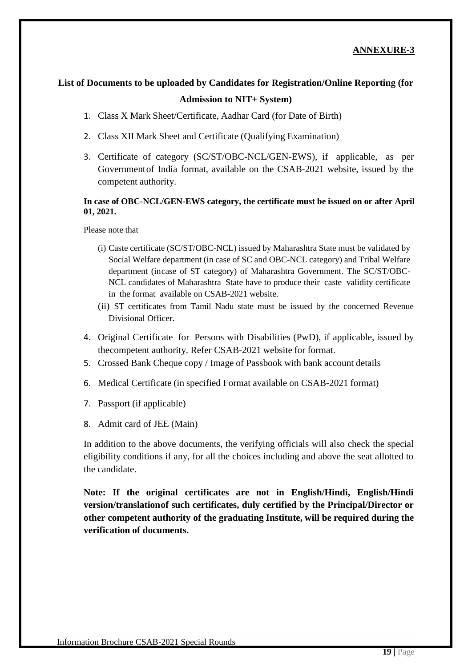## <span id="page-23-0"></span>**List of Documents to be uploaded by Candidates for Registration/Online Reporting (for Admission to NIT+ System)**

- 1. Class X Mark Sheet/Certificate, Aadhar Card (for Date of Birth)
- 2. Class XII Mark Sheet and Certificate (Qualifying Examination)
- 3. Certificate of category (SC/ST/OBC-NCL/GEN-EWS), if applicable, as per Governmentof India format, available on the CSAB-2021 website, issued by the competent authority.

#### **In case of OBC-NCL/GEN-EWS category, the certificate must be issued on or after April 01, 2021.**

Please note that

- (i) Caste certificate (SC/ST/OBC-NCL) issued by Maharashtra State must be validated by Social Welfare department (in case of SC and OBC-NCL category) and Tribal Welfare department (incase of ST category) of Maharashtra Government. The SC/ST/OBC-NCL candidates of Maharashtra State have to produce their caste validity certificate in the format available on CSAB-2021 website.
- (ii) ST certificates from Tamil Nadu state must be issued by the concerned Revenue Divisional Officer.
- 4. Original Certificate for Persons with Disabilities (PwD), if applicable, issued by thecompetent authority. Refer CSAB-2021 website for format.
- 5. Crossed Bank Cheque copy / Image of Passbook with bank account details
- 6. Medical Certificate (in specified Format available on CSAB-2021 format)
- 7. Passport (if applicable)
- 8. Admit card of JEE (Main)

In addition to the above documents, the verifying officials will also check the special eligibility conditions if any, for all the choices including and above the seat allotted to the candidate.

**Note: If the original certificates are not in English/Hindi, English/Hindi version/translationof such certificates, duly certified by the Principal/Director or other competent authority of the graduating Institute, will be required during the verification of documents.**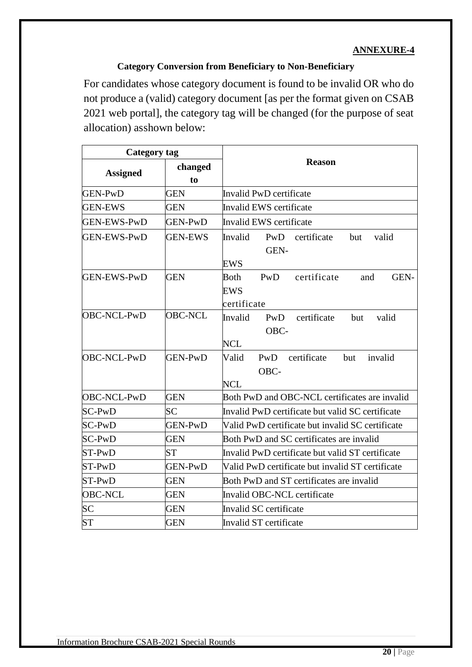#### **Category Conversion from Beneficiary to Non-Beneficiary**

<span id="page-24-0"></span>For candidates whose category document is found to be invalid OR who do not produce a (valid) category document [as per the format given on CSAB 2021 web portal], the category tag will be changed (for the purpose of seat allocation) asshown below:

| <b>Category tag</b> |                |                                                                        |  |  |  |  |
|---------------------|----------------|------------------------------------------------------------------------|--|--|--|--|
| <b>Assigned</b>     | changed<br>to  | <b>Reason</b>                                                          |  |  |  |  |
| <b>GEN-PwD</b>      | <b>GEN</b>     | Invalid PwD certificate                                                |  |  |  |  |
| <b>GEN-EWS</b>      | GEN            | Invalid EWS certificate                                                |  |  |  |  |
| <b>GEN-EWS-PwD</b>  | <b>GEN-PwD</b> | Invalid EWS certificate                                                |  |  |  |  |
| <b>GEN-EWS-PwD</b>  | <b>GEN-EWS</b> | certificate<br>Invalid<br>PwD<br>valid<br>but<br>GEN-<br><b>EWS</b>    |  |  |  |  |
| GEN-EWS-PwD         | <b>GEN</b>     | <b>Both</b><br>PwD<br>certificate<br>GEN-<br>and<br>EWS<br>certificate |  |  |  |  |
| OBC-NCL-PwD         | <b>OBC-NCL</b> | certificate<br>Invalid<br>valid<br>PwD<br>but<br>OBC-<br><b>NCL</b>    |  |  |  |  |
| OBC-NCL-PwD         | <b>GEN-PwD</b> | Valid<br>PwD<br>certificate<br>invalid<br>but<br>OBC-<br><b>NCL</b>    |  |  |  |  |
| OBC-NCL-PwD         | <b>GEN</b>     | Both PwD and OBC-NCL certificates are invalid                          |  |  |  |  |
| $SC-PwD$            | SC             | Invalid PwD certificate but valid SC certificate                       |  |  |  |  |
| $SC-PwD$            | <b>GEN-PwD</b> | Valid PwD certificate but invalid SC certificate                       |  |  |  |  |
| $SC-PwD$            | <b>GEN</b>     | Both PwD and SC certificates are invalid                               |  |  |  |  |
| $ST-PwD$            | <b>ST</b>      | Invalid PwD certificate but valid ST certificate                       |  |  |  |  |
| $ST-PwD$            | <b>GEN-PwD</b> | Valid PwD certificate but invalid ST certificate                       |  |  |  |  |
| $ST-PwD$            | <b>GEN</b>     | Both PwD and ST certificates are invalid                               |  |  |  |  |
| <b>OBC-NCL</b>      | <b>GEN</b>     | Invalid OBC-NCL certificate                                            |  |  |  |  |
| <b>SC</b>           | <b>GEN</b>     | Invalid SC certificate                                                 |  |  |  |  |
| <b>ST</b>           | <b>GEN</b>     | Invalid ST certificate                                                 |  |  |  |  |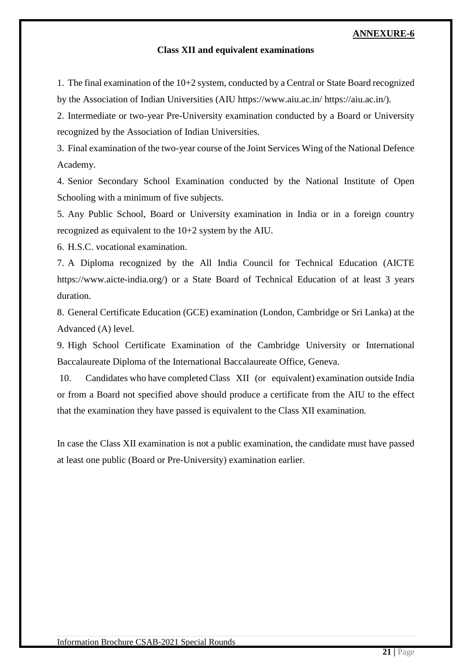#### **Class XII and equivalent examinations**

<span id="page-25-0"></span>1. The final examination of the 10+2 system, conducted by a Central or State Board recognized by the Association of Indian Universities (AIU https://www.aiu.ac.in/ https://aiu.ac.in/).

2. Intermediate or two-year Pre-University examination conducted by a Board or University recognized by the Association of Indian Universities.

3. Final examination of the two-year course of the Joint Services Wing of the National Defence Academy.

4. Senior Secondary School Examination conducted by the National Institute of Open Schooling with a minimum of five subjects.

5. Any Public School, Board or University examination in India or in a foreign country recognized as equivalent to the 10+2 system by the AIU.

6. H.S.C. vocational examination.

7. A Diploma recognized by the All India Council for Technical Education (AICTE https://www.aicte-india.org/) or a State Board of Technical Education of at least 3 years duration.

8. General Certificate Education (GCE) examination (London, Cambridge or Sri Lanka) at the Advanced (A) level.

9. High School Certificate Examination of the Cambridge University or International Baccalaureate Diploma of the International Baccalaureate Office, Geneva.

10. Candidates who have completed Class XII (or equivalent) examination outside India or from a Board not specified above should produce a certificate from the AIU to the effect that the examination they have passed is equivalent to the Class XII examination.

In case the Class XII examination is not a public examination, the candidate must have passed at least one public (Board or Pre-University) examination earlier.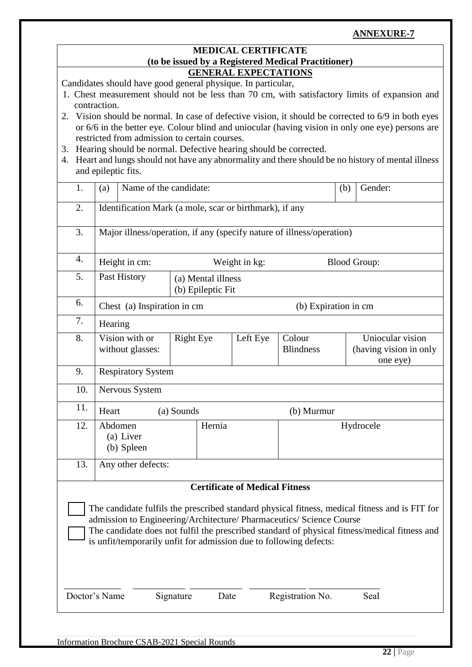#### **MEDICAL CERTIFICATE (to be issued by a Registered Medical Practitioner) GENERAL EXPECTATIONS**

<span id="page-26-0"></span>Candidates should have good general physique. In particular,

- 1. Chest measurement should not be less than 70 cm, with satisfactory limits of expansion and contraction.
- 2. Vision should be normal. In case of defective vision, it should be corrected to 6/9 in both eyes or 6/6 in the better eye. Colour blind and uniocular (having vision in only one eye) persons are restricted from admission to certain courses.
- 3. Hearing should be normal. Defective hearing should be corrected.
- 4. Heart and lungs should not have any abnormality and there should be no history of mental illness and epileptic fits.

| 1.                                                                                                                                                                                                                                                                                                                                            | Name of the candidate:<br>Gender:<br>(a)<br>(b)                       |                                    |                                         |      |                                       |                            |  |                                                        |
|-----------------------------------------------------------------------------------------------------------------------------------------------------------------------------------------------------------------------------------------------------------------------------------------------------------------------------------------------|-----------------------------------------------------------------------|------------------------------------|-----------------------------------------|------|---------------------------------------|----------------------------|--|--------------------------------------------------------|
| 2.                                                                                                                                                                                                                                                                                                                                            | Identification Mark (a mole, scar or birthmark), if any               |                                    |                                         |      |                                       |                            |  |                                                        |
| 3.                                                                                                                                                                                                                                                                                                                                            | Major illness/operation, if any (specify nature of illness/operation) |                                    |                                         |      |                                       |                            |  |                                                        |
| 4.                                                                                                                                                                                                                                                                                                                                            |                                                                       | Height in cm:                      |                                         |      | Weight in kg:                         |                            |  | <b>Blood Group:</b>                                    |
| 5.                                                                                                                                                                                                                                                                                                                                            |                                                                       | Past History                       | (a) Mental illness<br>(b) Epileptic Fit |      |                                       |                            |  |                                                        |
| 6.                                                                                                                                                                                                                                                                                                                                            |                                                                       | Chest (a) Inspiration in cm        |                                         |      |                                       | (b) Expiration in cm       |  |                                                        |
| 7.                                                                                                                                                                                                                                                                                                                                            | Hearing                                                               |                                    |                                         |      |                                       |                            |  |                                                        |
| 8.                                                                                                                                                                                                                                                                                                                                            |                                                                       | Vision with or<br>without glasses: | <b>Right Eye</b>                        |      | Left Eye                              | Colour<br><b>Blindness</b> |  | Uniocular vision<br>(having vision in only<br>one eye) |
| 9.                                                                                                                                                                                                                                                                                                                                            |                                                                       | <b>Respiratory System</b>          |                                         |      |                                       |                            |  |                                                        |
| 10.                                                                                                                                                                                                                                                                                                                                           |                                                                       | Nervous System                     |                                         |      |                                       |                            |  |                                                        |
| 11.                                                                                                                                                                                                                                                                                                                                           | Heart                                                                 |                                    | (a) Sounds                              |      |                                       | (b) Murmur                 |  |                                                        |
| 12.                                                                                                                                                                                                                                                                                                                                           | Abdomen<br>Hernia<br>(a) Liver<br>(b) Spleen                          |                                    |                                         |      |                                       | Hydrocele                  |  |                                                        |
| 13.                                                                                                                                                                                                                                                                                                                                           | Any other defects:                                                    |                                    |                                         |      |                                       |                            |  |                                                        |
|                                                                                                                                                                                                                                                                                                                                               |                                                                       |                                    |                                         |      | <b>Certificate of Medical Fitness</b> |                            |  |                                                        |
| The candidate fulfils the prescribed standard physical fitness, medical fitness and is FIT for<br>admission to Engineering/Architecture/ Pharmaceutics/ Science Course<br>The candidate does not fulfil the prescribed standard of physical fitness/medical fitness and<br>is unfit/temporarily unfit for admission due to following defects: |                                                                       |                                    |                                         |      |                                       |                            |  |                                                        |
| Doctor's Name                                                                                                                                                                                                                                                                                                                                 |                                                                       |                                    | Signature                               | Date |                                       | Registration No.           |  | Seal                                                   |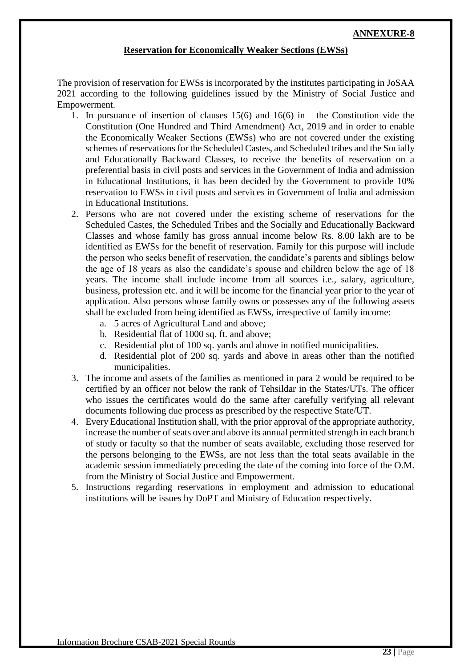#### **Reservation for Economically Weaker Sections (EWSs)**

<span id="page-27-0"></span>The provision of reservation for EWSs is incorporated by the institutes participating in JoSAA 2021 according to the following guidelines issued by the Ministry of Social Justice and Empowerment.

- 1. In pursuance of insertion of clauses 15(6) and 16(6) in the Constitution vide the Constitution (One Hundred and Third Amendment) Act, 2019 and in order to enable the Economically Weaker Sections (EWSs) who are not covered under the existing schemes of reservations for the Scheduled Castes, and Scheduled tribes and the Socially and Educationally Backward Classes, to receive the benefits of reservation on a preferential basis in civil posts and services in the Government of India and admission in Educational Institutions, it has been decided by the Government to provide 10% reservation to EWSs in civil posts and services in Government of India and admission in Educational Institutions.
- 2. Persons who are not covered under the existing scheme of reservations for the Scheduled Castes, the Scheduled Tribes and the Socially and Educationally Backward Classes and whose family has gross annual income below Rs. 8.00 lakh are to be identified as EWSs for the benefit of reservation. Family for this purpose will include the person who seeks benefit of reservation, the candidate's parents and siblings below the age of 18 years as also the candidate's spouse and children below the age of 18 years. The income shall include income from all sources i.e., salary, agriculture, business, profession etc. and it will be income for the financial year prior to the year of application. Also persons whose family owns or possesses any of the following assets shall be excluded from being identified as EWSs, irrespective of family income:
	- a. 5 acres of Agricultural Land and above;
	- b. Residential flat of 1000 sq. ft. and above;
	- c. Residential plot of 100 sq. yards and above in notified municipalities.
	- d. Residential plot of 200 sq. yards and above in areas other than the notified municipalities.
- 3. The income and assets of the families as mentioned in para 2 would be required to be certified by an officer not below the rank of Tehsildar in the States/UTs. The officer who issues the certificates would do the same after carefully verifying all relevant documents following due process as prescribed by the respective State/UT.
- 4. Every Educational Institution shall, with the prior approval of the appropriate authority, increase the number of seats over and above its annual permitted strength in each branch of study or faculty so that the number of seats available, excluding those reserved for the persons belonging to the EWSs, are not less than the total seats available in the academic session immediately preceding the date of the coming into force of the O.M. from the Ministry of Social Justice and Empowerment.
- 5. Instructions regarding reservations in employment and admission to educational institutions will be issues by DoPT and Ministry of Education respectively.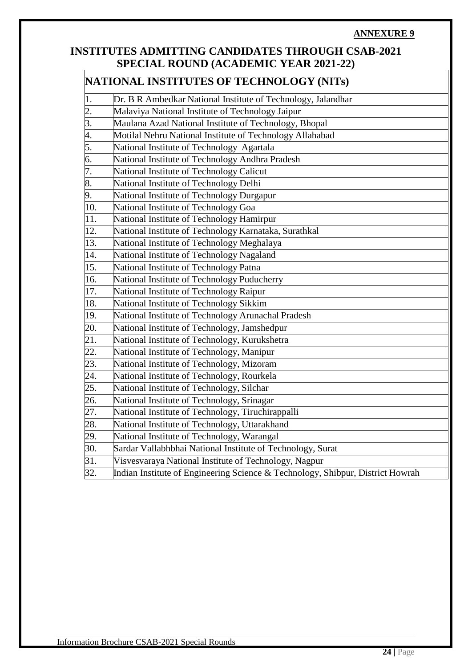### <span id="page-28-0"></span>**INSTITUTES ADMITTING CANDIDATES THROUGH CSAB-2021 SPECIAL ROUND (ACADEMIC YEAR 2021-22)**

#### **NATIONAL INSTITUTES OF TECHNOLOGY (NITs)**

| 1.  | Dr. B R Ambedkar National Institute of Technology, Jalandhar                   |
|-----|--------------------------------------------------------------------------------|
| 2.  | Malaviya National Institute of Technology Jaipur                               |
| 3.  | Maulana Azad National Institute of Technology, Bhopal                          |
| 4.  | Motilal Nehru National Institute of Technology Allahabad                       |
| 5.  | National Institute of Technology Agartala                                      |
| 6.  | National Institute of Technology Andhra Pradesh                                |
| 7.  | National Institute of Technology Calicut                                       |
| 8.  | National Institute of Technology Delhi                                         |
| 9.  | National Institute of Technology Durgapur                                      |
| 10. | National Institute of Technology Goa                                           |
| 11. | National Institute of Technology Hamirpur                                      |
| 12. | National Institute of Technology Karnataka, Surathkal                          |
| 13. | National Institute of Technology Meghalaya                                     |
| 14. | National Institute of Technology Nagaland                                      |
| 15. | National Institute of Technology Patna                                         |
| 16. | National Institute of Technology Puducherry                                    |
| 17. | National Institute of Technology Raipur                                        |
| 18. | National Institute of Technology Sikkim                                        |
| 19. | National Institute of Technology Arunachal Pradesh                             |
| 20. | National Institute of Technology, Jamshedpur                                   |
| 21. | National Institute of Technology, Kurukshetra                                  |
| 22. | National Institute of Technology, Manipur                                      |
| 23. | National Institute of Technology, Mizoram                                      |
| 24. | National Institute of Technology, Rourkela                                     |
| 25. | National Institute of Technology, Silchar                                      |
| 26. | National Institute of Technology, Srinagar                                     |
| 27. | National Institute of Technology, Tiruchirappalli                              |
| 28. | National Institute of Technology, Uttarakhand                                  |
| 29. | National Institute of Technology, Warangal                                     |
| 30. | Sardar Vallabhbhai National Institute of Technology, Surat                     |
| 31. | Visvesvaraya National Institute of Technology, Nagpur                          |
| 32. | Indian Institute of Engineering Science & Technology, Shibpur, District Howrah |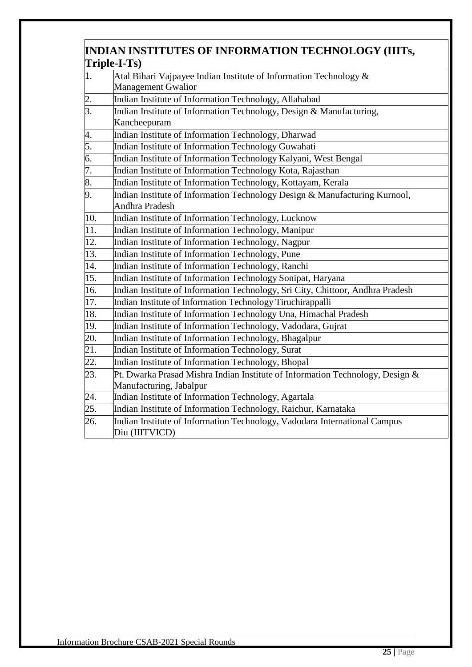### **INDIAN INSTITUTES OF INFORMATION TECHNOLOGY (IIITs, Triple-I-Ts)**

| 1.  | Atal Bihari Vajpayee Indian Institute of Information Technology $\&$           |
|-----|--------------------------------------------------------------------------------|
|     | <b>Management Gwalior</b>                                                      |
| 2.  | Indian Institute of Information Technology, Allahabad                          |
| 3.  | Indian Institute of Information Technology, Design & Manufacturing,            |
|     | Kancheepuram                                                                   |
| 4.  | Indian Institute of Information Technology, Dharwad                            |
| 5.  | Indian Institute of Information Technology Guwahati                            |
| 6.  | Indian Institute of Information Technology Kalyani, West Bengal                |
| 7.  | Indian Institute of Information Technology Kota, Rajasthan                     |
| 8.  | Indian Institute of Information Technology, Kottayam, Kerala                   |
| 9.  | Indian Institute of Information Technology Design & Manufacturing Kurnool,     |
|     | Andhra Pradesh                                                                 |
| 10. | Indian Institute of Information Technology, Lucknow                            |
| 11. | Indian Institute of Information Technology, Manipur                            |
| 12. | Indian Institute of Information Technology, Nagpur                             |
| 13. | Indian Institute of Information Technology, Pune                               |
| 14. | Indian Institute of Information Technology, Ranchi                             |
| 15. | Indian Institute of Information Technology Sonipat, Haryana                    |
| 16. | Indian Institute of Information Technology, Sri City, Chittoor, Andhra Pradesh |
| 17. | Indian Institute of Information Technology Tiruchirappalli                     |
| 18. | Indian Institute of Information Technology Una, Himachal Pradesh               |
| 19. | Indian Institute of Information Technology, Vadodara, Gujrat                   |
| 20. | Indian Institute of Information Technology, Bhagalpur                          |
| 21. | Indian Institute of Information Technology, Surat                              |
| 22. | Indian Institute of Information Technology, Bhopal                             |
| 23. | Pt. Dwarka Prasad Mishra Indian Institute of Information Technology, Design &  |
|     | Manufacturing, Jabalpur                                                        |
| 24. | Indian Institute of Information Technology, Agartala                           |
| 25. | Indian Institute of Information Technology, Raichur, Karnataka                 |
| 26. | Indian Institute of Information Technology, Vadodara International Campus      |
|     | Diu (IIITVICD)                                                                 |
|     |                                                                                |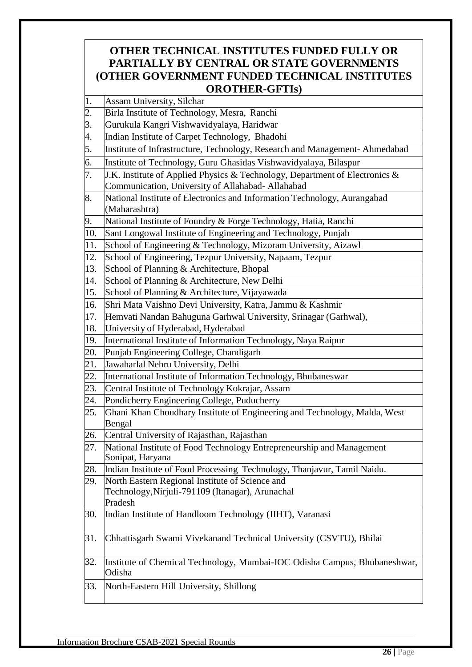## **OTHER TECHNICAL INSTITUTES FUNDED FULLY OR PARTIALLY BY CENTRAL OR STATE GOVERNMENTS (OTHER GOVERNMENT FUNDED TECHNICAL INSTITUTES OROTHER-GFTIs)**

|     | <b>OROTHER-GFTIS</b>                                                                                                             |
|-----|----------------------------------------------------------------------------------------------------------------------------------|
| 1.  | Assam University, Silchar                                                                                                        |
| 2.  | Birla Institute of Technology, Mesra, Ranchi                                                                                     |
| 3.  | Gurukula Kangri Vishwavidyalaya, Haridwar                                                                                        |
| 4.  | Indian Institute of Carpet Technology, Bhadohi                                                                                   |
| 5.  | Institute of Infrastructure, Technology, Research and Management-Ahmedabad                                                       |
| 6.  | Institute of Technology, Guru Ghasidas Vishwavidyalaya, Bilaspur                                                                 |
| 7.  | J.K. Institute of Applied Physics & Technology, Department of Electronics &<br>Communication, University of Allahabad- Allahabad |
| 8.  | National Institute of Electronics and Information Technology, Aurangabad<br>(Maharashtra)                                        |
| 9.  | National Institute of Foundry & Forge Technology, Hatia, Ranchi                                                                  |
| 10. | Sant Longowal Institute of Engineering and Technology, Punjab                                                                    |
| 11. | School of Engineering & Technology, Mizoram University, Aizawl                                                                   |
| 12. | School of Engineering, Tezpur University, Napaam, Tezpur                                                                         |
| 13. | School of Planning & Architecture, Bhopal                                                                                        |
| 14. | School of Planning & Architecture, New Delhi                                                                                     |
| 15. | School of Planning & Architecture, Vijayawada                                                                                    |
| 16. | Shri Mata Vaishno Devi University, Katra, Jammu & Kashmir                                                                        |
| 17. | Hemvati Nandan Bahuguna Garhwal University, Srinagar (Garhwal),                                                                  |
| 18. | University of Hyderabad, Hyderabad                                                                                               |
| 19. | International Institute of Information Technology, Naya Raipur                                                                   |
| 20. | Punjab Engineering College, Chandigarh                                                                                           |
| 21. | Jawaharlal Nehru University, Delhi                                                                                               |
| 22. | International Institute of Information Technology, Bhubaneswar                                                                   |
| 23. | Central Institute of Technology Kokrajar, Assam                                                                                  |
| 24. | Pondicherry Engineering College, Puducherry                                                                                      |
| 25. | Ghani Khan Choudhary Institute of Engineering and Technology, Malda, West<br>Bengal                                              |
| 26. | Central University of Rajasthan, Rajasthan                                                                                       |
| 27. | National Institute of Food Technology Entrepreneurship and Management<br>Sonipat, Haryana                                        |
| 28. | Indian Institute of Food Processing Technology, Thanjavur, Tamil Naidu.                                                          |
| 29. | North Eastern Regional Institute of Science and                                                                                  |
|     | Technology, Nirjuli-791109 (Itanagar), Arunachal<br>Pradesh                                                                      |
| 30. | Indian Institute of Handloom Technology (IIHT), Varanasi                                                                         |
| 31. | Chhattisgarh Swami Vivekanand Technical University (CSVTU), Bhilai                                                               |
| 32. | Institute of Chemical Technology, Mumbai-IOC Odisha Campus, Bhubaneshwar,<br>Odisha                                              |
| 33. | North-Eastern Hill University, Shillong                                                                                          |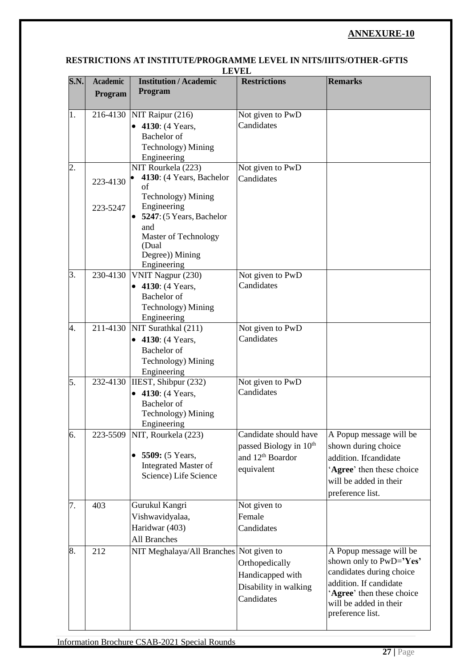#### <span id="page-31-0"></span>**RESTRICTIONS AT INSTITUTE/PROGRAMME LEVEL IN NITS/IIITS/OTHER-GFTIS LEVEL**

| <b>S.N.</b> | <b>Academic</b><br>Program | <b>Institution / Academic</b><br>Program  | <b>Restrictions</b>                | <b>Remarks</b>            |
|-------------|----------------------------|-------------------------------------------|------------------------------------|---------------------------|
|             |                            |                                           |                                    |                           |
| 1.          |                            | 216-4130 NIT Raipur (216)                 | Not given to PwD                   |                           |
|             |                            | • 4130: (4 Years,<br><b>Bachelor</b> of   | Candidates                         |                           |
|             |                            | Technology) Mining                        |                                    |                           |
|             |                            | Engineering                               |                                    |                           |
| 2.          |                            | NIT Rourkela (223)                        | Not given to PwD                   |                           |
|             | 223-4130                   | 4130: (4 Years, Bachelor                  | Candidates                         |                           |
|             |                            | of                                        |                                    |                           |
|             |                            | Technology) Mining                        |                                    |                           |
|             | 223-5247                   | Engineering<br>• 5247: (5 Years, Bachelor |                                    |                           |
|             |                            | and                                       |                                    |                           |
|             |                            | Master of Technology                      |                                    |                           |
|             |                            | (Dual                                     |                                    |                           |
|             |                            | Degree)) Mining                           |                                    |                           |
| 3.          | 230-4130                   | Engineering<br>VNIT Nagpur (230)          | Not given to PwD                   |                           |
|             |                            | • 4130: (4 Years,                         | Candidates                         |                           |
|             |                            | <b>Bachelor</b> of                        |                                    |                           |
|             |                            | Technology) Mining                        |                                    |                           |
|             |                            | Engineering                               |                                    |                           |
| 4.          |                            | 211-4130 NIT Surathkal (211)              | Not given to PwD                   |                           |
|             |                            | • 4130: (4 Years,                         | Candidates                         |                           |
|             |                            | <b>Bachelor</b> of                        |                                    |                           |
|             |                            | Technology) Mining                        |                                    |                           |
|             |                            | Engineering                               |                                    |                           |
| 5.          | 232-4130                   | IIEST, Shibpur (232)                      | Not given to PwD                   |                           |
|             |                            | • 4130: (4 Years,                         | Candidates                         |                           |
|             |                            | Bachelor of<br>Technology) Mining         |                                    |                           |
|             |                            | Engineering                               |                                    |                           |
| 6.          | 223-5509                   | NIT, Rourkela (223)                       | Candidate should have              | A Popup message will be   |
|             |                            |                                           | passed Biology in 10 <sup>th</sup> | shown during choice       |
|             |                            | 5509: (5 Years,<br>$\bullet$              | and 12 <sup>th</sup> Boardor       | addition. If candidate    |
|             |                            | <b>Integrated Master of</b>               | equivalent                         | 'Agree' then these choice |
|             |                            | Science) Life Science                     |                                    | will be added in their    |
|             |                            |                                           |                                    | preference list.          |
| 7.          | 403                        | Gurukul Kangri                            | Not given to                       |                           |
|             |                            | Vishwavidyalaa,                           | Female                             |                           |
|             |                            | Haridwar (403)                            | Candidates                         |                           |
|             |                            | <b>All Branches</b>                       |                                    |                           |
| 8.          | 212                        | NIT Meghalaya/All Branches Not given to   |                                    | A Popup message will be   |
|             |                            |                                           | Orthopedically                     | shown only to PwD='Yes'   |
|             |                            |                                           | Handicapped with                   | candidates during choice  |
|             |                            |                                           | Disability in walking              | addition. If candidate    |
|             |                            |                                           | Candidates                         | 'Agree' then these choice |
|             |                            |                                           |                                    | will be added in their    |
|             |                            |                                           |                                    | preference list.          |
|             |                            |                                           |                                    |                           |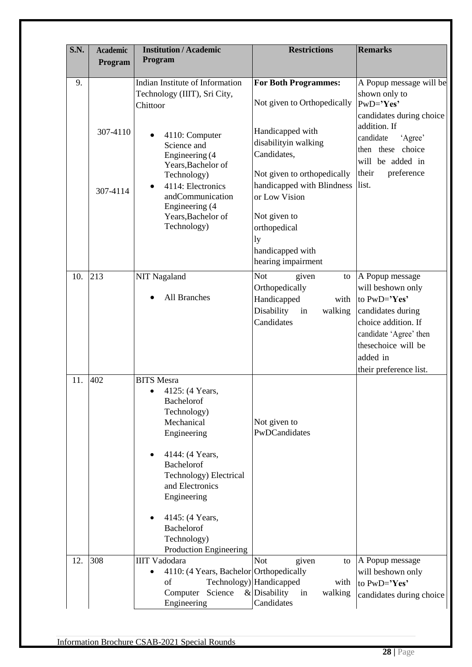| <b>S.N.</b> | <b>Academic</b> | <b>Institution / Academic</b>                                                                                                                                                                                                                                         | <b>Restrictions</b>                                                                                             | <b>Remarks</b>                                                                                                                                                    |
|-------------|-----------------|-----------------------------------------------------------------------------------------------------------------------------------------------------------------------------------------------------------------------------------------------------------------------|-----------------------------------------------------------------------------------------------------------------|-------------------------------------------------------------------------------------------------------------------------------------------------------------------|
|             | Program         | Program                                                                                                                                                                                                                                                               |                                                                                                                 |                                                                                                                                                                   |
| 9.          |                 | Indian Institute of Information<br>Technology (IIIT), Sri City,<br>Chittoor                                                                                                                                                                                           | <b>For Both Programmes:</b><br>Not given to Orthopedically                                                      | A Popup message will be<br>shown only to<br>PwD='Yes'                                                                                                             |
|             | 307-4110        | 4110: Computer<br>Science and<br>Engineering (4<br>Years, Bachelor of                                                                                                                                                                                                 | Handicapped with<br>disabilityin walking<br>Candidates,                                                         | candidates during choice<br>addition. If<br>'Agree'<br>candidate<br>choice<br>then these<br>will be added in                                                      |
|             | 307-4114        | Technology)<br>4114: Electronics<br>andCommunication<br>Engineering (4<br>Years, Bachelor of<br>Technology)                                                                                                                                                           | Not given to orthopedically<br>handicapped with Blindness<br>or Low Vision<br>Not given to<br>orthopedical      | their<br>preference<br>list.                                                                                                                                      |
|             |                 |                                                                                                                                                                                                                                                                       | ly<br>handicapped with<br>hearing impairment                                                                    |                                                                                                                                                                   |
| 10.         | 213             | <b>NIT Nagaland</b><br>All Branches                                                                                                                                                                                                                                   | <b>Not</b><br>given<br>to<br>Orthopedically<br>Handicapped<br>with<br>Disability<br>walking<br>in<br>Candidates | A Popup message<br>will be<br>shown only<br>to PwD='Yes'<br>candidates during<br>choice addition. If<br>candidate 'Agree' then<br>thesechoice will be<br>added in |
| 11.         | 402             | <b>BITS</b> Mesra<br>4125: (4 Years,<br>Bachelorof<br>Technology)<br>Mechanical<br>Engineering<br>4144: (4 Years,<br>Bachelorof<br>Technology) Electrical<br>and Electronics<br>Engineering<br>4145: (4 Years,<br>Bachelorof<br>Technology)<br>Production Engineering | Not given to<br>PwDCandidates                                                                                   | their preference list.                                                                                                                                            |
| 12.         | 308             | <b>IIIT Vadodara</b><br>4110: (4 Years, Bachelor Orthopedically<br>of<br>Science<br>Computer<br>Engineering                                                                                                                                                           | <b>Not</b><br>given<br>to<br>Technology) Handicapped<br>with<br>$&$ Disability<br>walking<br>in<br>Candidates   | A Popup message<br>will be<br>shown only<br>to PwD='Yes'<br>candidates during choice                                                                              |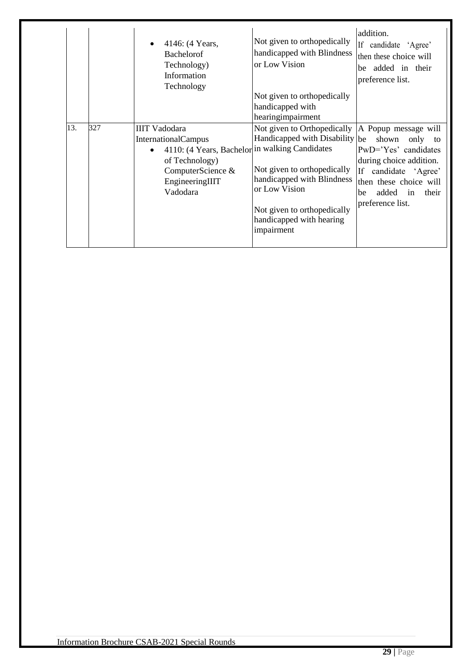|     |     | 4146: (4 Years,<br><b>Bachelorof</b><br>Technology)<br>Information<br>Technology                                                                                           | Not given to orthopedically<br>handicapped with Blindness<br>or Low Vision<br>Not given to orthopedically<br>handicapped with<br>hearingimpairment                                                                   | addition.<br>If candidate 'Agree'<br>then these choice will<br>be added in their<br>preference list.                                                                                            |
|-----|-----|----------------------------------------------------------------------------------------------------------------------------------------------------------------------------|----------------------------------------------------------------------------------------------------------------------------------------------------------------------------------------------------------------------|-------------------------------------------------------------------------------------------------------------------------------------------------------------------------------------------------|
| 13. | 327 | <b>IIIT Vadodara</b><br><b>InternationalCampus</b><br>4110: (4 Years, Bachelor in walking Candidates<br>of Technology)<br>ComputerScience &<br>EngineeringIIIT<br>Vadodara | Not given to Orthopedically<br>Handicapped with Disability be<br>Not given to orthopedically<br>handicapped with Blindness<br>or Low Vision<br>Not given to orthopedically<br>handicapped with hearing<br>impairment | A Popup message will<br>shown<br>only to<br>PwD='Yes' candidates<br>during choice addition.<br>If<br>candidate 'Agree'<br>then these choice will<br>added in<br>their<br>be<br>preference list. |